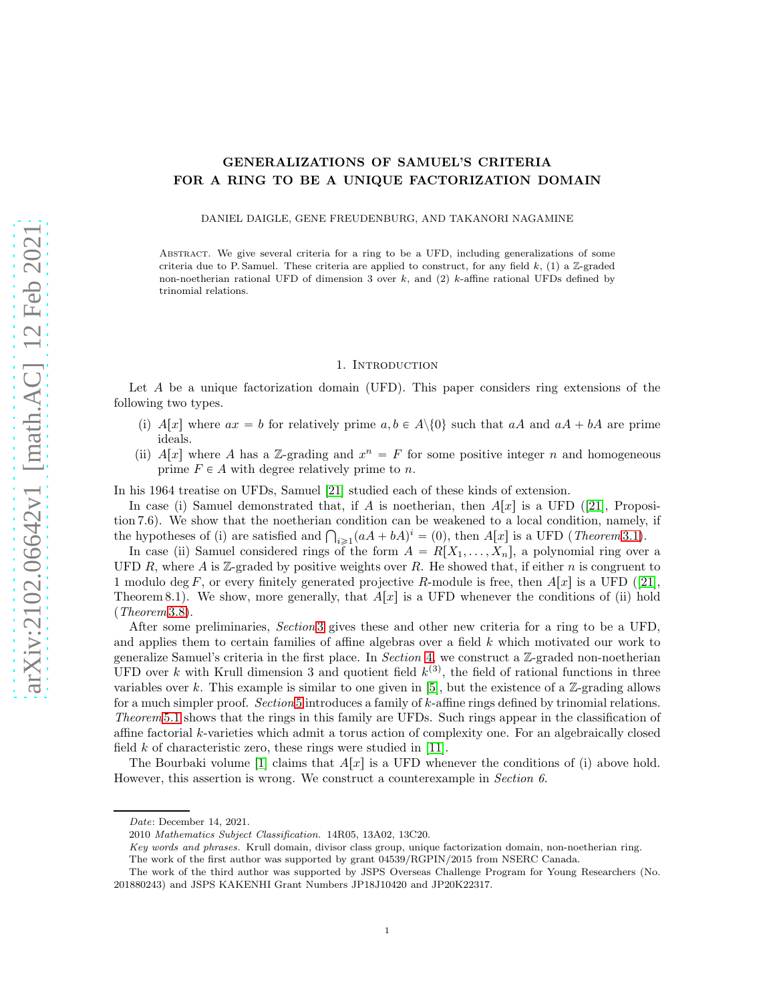# GENERALIZATIONS OF SAMUEL'S CRITERIA FOR A RING TO BE A UNIQUE FACTORIZATION DOMAIN

DANIEL DAIGLE, GENE FREUDENBURG, AND TAKANORI NAGAMINE

Abstract. We give several criteria for a ring to be a UFD, including generalizations of some criteria due to P. Samuel. These criteria are applied to construct, for any field  $k$ , (1) a Z-graded non-noetherian rational UFD of dimension 3 over  $k$ , and (2)  $k$ -affine rational UFDs defined by trinomial relations.

#### 1. INTRODUCTION

Let A be a unique factorization domain (UFD). This paper considers ring extensions of the following two types.

- (i) A[x] where  $ax = b$  for relatively prime  $a, b \in A \setminus \{0\}$  such that  $aA$  and  $aA + bA$  are prime ideals.
- (ii)  $A[x]$  where A has a Z-grading and  $x^n = F$  for some positive integer n and homogeneous prime  $F \in A$  with degree relatively prime to n.

In his 1964 treatise on UFDs, Samuel [\[21\]](#page-21-0) studied each of these kinds of extension.

In case (i) Samuel demonstrated that, if A is noetherian, then  $A[x]$  is a UFD ([\[21\]](#page-21-0), Proposition 7.6). We show that the noetherian condition can be weakened to a local condition, namely, if the hypotheses of (i) are satisfied and  $\bigcap_{i\geqslant 1} (aA + bA)^i = (0)$ , then  $A[x]$  is a UFD (*Theorem* [3.1\)](#page-3-0).

In case (ii) Samuel considered rings of the form  $A = R[X_1, \ldots, X_n]$ , a polynomial ring over a UFD R, where A is Z-graded by positive weights over R. He showed that, if either  $n$  is congruent to 1 modulo deg F, or every finitely generated projective R-module is free, then  $A[x]$  is a UFD ([\[21\]](#page-21-0), Theorem 8.1). We show, more generally, that  $A[x]$  is a UFD whenever the conditions of (ii) hold (Theorem [3.8\)](#page-7-0).

After some preliminaries, Section [3](#page-3-1) gives these and other new criteria for a ring to be a UFD, and applies them to certain families of affine algebras over a field k which motivated our work to generalize Samuel's criteria in the first place. In Section [4,](#page-12-0) we construct a  $\mathbb{Z}$ -graded non-noetherian UFD over k with Krull dimension 3 and quotient field  $k^{(3)}$ , the field of rational functions in three variables over k. This example is similar to one given in [\[5\]](#page-21-1), but the existence of a  $\mathbb{Z}$ -grading allows for a much simpler proof. Section [5](#page-16-0) introduces a family of k-affine rings defined by trinomial relations. Theorem [5.1](#page-16-1) shows that the rings in this family are UFDs. Such rings appear in the classification of affine factorial k-varieties which admit a torus action of complexity one. For an algebraically closed field k of characteristic zero, these rings were studied in  $[11]$ .

The Bourbaki volume [\[1\]](#page-21-3) claims that  $A[x]$  is a UFD whenever the conditions of (i) above hold. However, this assertion is wrong. We construct a counterexample in Section 6.

Date: December 14, 2021.

<sup>2010</sup> Mathematics Subject Classification. 14R05, 13A02, 13C20.

Key words and phrases. Krull domain, divisor class group, unique factorization domain, non-noetherian ring. The work of the first author was supported by grant 04539/RGPIN/2015 from NSERC Canada.

The work of the third author was supported by JSPS Overseas Challenge Program for Young Researchers (No. 201880243) and JSPS KAKENHI Grant Numbers JP18J10420 and JP20K22317.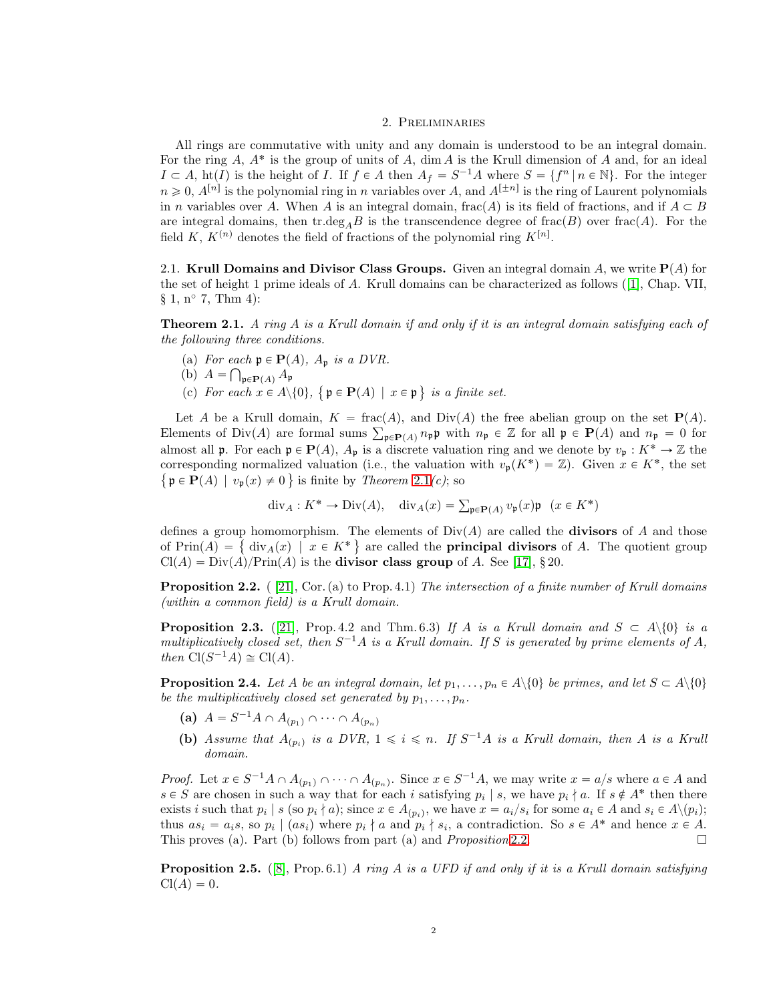#### 2. Preliminaries

All rings are commutative with unity and any domain is understood to be an integral domain. For the ring  $A$ ,  $A^*$  is the group of units of  $A$ , dim  $A$  is the Krull dimension of  $A$  and, for an ideal  $I \subset A$ ,  $\text{ht}(I)$  is the height of I. If  $f \in A$  then  $A_f = S^{-1}A$  where  $S = \{f^n | n \in \mathbb{N}\}\$ . For the integer  $n \geq 0$ ,  $A^{[n]}$  is the polynomial ring in n variables over A, and  $A^{[\pm n]}$  is the ring of Laurent polynomials in n variables over A. When A is an integral domain, frac $(A)$  is its field of fractions, and if  $A \subset B$ are integral domains, then tr.deg<sub>A</sub>B is the transcendence degree of frac(B) over frac(A). For the field K,  $K^{(n)}$  denotes the field of fractions of the polynomial ring  $K^{[n]}$ .

<span id="page-1-5"></span>2.1. Krull Domains and Divisor Class Groups. Given an integral domain A, we write  $P(A)$  for the set of height 1 prime ideals of A. Krull domains can be characterized as follows ([\[1\]](#page-21-3), Chap. VII,  $\S 1, n^{\circ} 7, Thm 4)$ :

<span id="page-1-0"></span>**Theorem 2.1.** A ring A is a Krull domain if and only if it is an integral domain satisfying each of the following three conditions.

- (a) For each  $\mathfrak{p} \in \mathbf{P}(A)$ ,  $A_{\mathfrak{p}}$  is a DVR.
- (b)  $A = \bigcap_{\mathfrak{p} \in \mathbf{P}(A)} A_{\mathfrak{p}}$
- (c) For each  $x \in A \setminus \{0\}$ ,  $\{ \mathfrak{p} \in \mathbf{P}(A) \mid x \in \mathfrak{p} \}$  is a finite set.

Let A be a Krull domain,  $K = \text{frac}(A)$ , and Div $(A)$  the free abelian group on the set  $P(A)$ . Elements of Div(A) are formal sums  $\sum_{\mathfrak{p}\in \mathbf{P}(A)} n_{\mathfrak{p}} \mathfrak{p}$  with  $n_{\mathfrak{p}} \in \mathbb{Z}$  for all  $\mathfrak{p} \in \mathbf{P}(A)$  and  $n_{\mathfrak{p}} = 0$  for almost all **p**. For each  $\mathbf{p} \in \mathbf{P}(A)$ ,  $A_{\mathbf{p}}$  is a discrete valuation ring and we denote by  $v_{\mathbf{p}} : K^* \to \mathbb{Z}$  the corresponding normalized valuation (i.e., the valuation with  $v_p(K^*) = \mathbb{Z}$ ). Given  $x \in K^*$ , the set  $\{ \mathfrak{p} \in \mathbf{P}(A) \mid v_{\mathfrak{p}}(x) \neq 0 \}$  is finite by *Theorem [2.1](#page-1-0)(c)*; so

$$
\operatorname{div}_A: K^* \to \operatorname{Div}(A), \quad \operatorname{div}_A(x) = \sum_{\mathfrak{p} \in \mathbf{P}(A)} v_{\mathfrak{p}}(x) \mathfrak{p} \quad (x \in K^*)
$$

defines a group homomorphism. The elements of  $Div(A)$  are called the **divisors** of A and those of  $Prin(A) = \{ \text{div}_A(x) \mid x \in K^* \}$  are called the **principal divisors** of A. The quotient group  $Cl(A) = Div(A)/Prim(A)$  is the **divisor class group** of A. See [\[17\]](#page-21-4), § 20.

<span id="page-1-1"></span>**Proposition 2.2.** ( [\[21\]](#page-21-0), Cor. (a) to Prop. 4.1) The intersection of a finite number of Krull domains (within a common field) is a Krull domain.

<span id="page-1-2"></span>**Proposition 2.3.** ([\[21\]](#page-21-0), Prop. 4.2 and Thm. 6.3) If A is a Krull domain and  $S \subset A \setminus \{0\}$  is a multiplicatively closed set, then  $S^{-1}A$  is a Krull domain. If S is generated by prime elements of A, then  $Cl(S^{-1}A) \cong Cl(A)$ .

<span id="page-1-3"></span>**Proposition 2.4.** Let A be an integral domain, let  $p_1, \ldots, p_n \in A \setminus \{0\}$  be primes, and let  $S \subset A \setminus \{0\}$ be the multiplicatively closed set generated by  $p_1, \ldots, p_n$ .

- (a)  $A = S^{-1}A \cap A_{(p_1)} \cap \cdots \cap A_{(p_n)}$
- (b) Assume that  $A_{(p_i)}$  is a DVR,  $1 \leq i \leq n$ . If  $S^{-1}A$  is a Krull domain, then A is a Krull domain.

*Proof.* Let  $x \in S^{-1}A \cap A_{(p_1)} \cap \cdots \cap A_{(p_n)}$ . Since  $x \in S^{-1}A$ , we may write  $x = a/s$  where  $a \in A$  and  $s \in S$  are chosen in such a way that for each i satisfying  $p_i | s$ , we have  $p_i \nmid a$ . If  $s \notin A^*$  then there exists i such that  $p_i | s$  (so  $p_i \nmid a$ ); since  $x \in A_{(p_i)}$ , we have  $x = a_i/s_i$  for some  $a_i \in A$  and  $s_i \in A \setminus (p_i)$ ; thus  $as_i = a_i s$ , so  $p_i | (as_i)$  where  $p_i \nmid a$  and  $p_i \nmid s_i$ , a contradiction. So  $s \in A^*$  and hence  $x \in A$ . This proves (a). Part (b) follows from part (a) and *Proposition* [2.2.](#page-1-1)

<span id="page-1-4"></span>**Proposition 2.5.** ([\[8\]](#page-21-5), Prop. 6.1) A ring A is a UFD if and only if it is a Krull domain satisfying  $Cl(A) = 0.$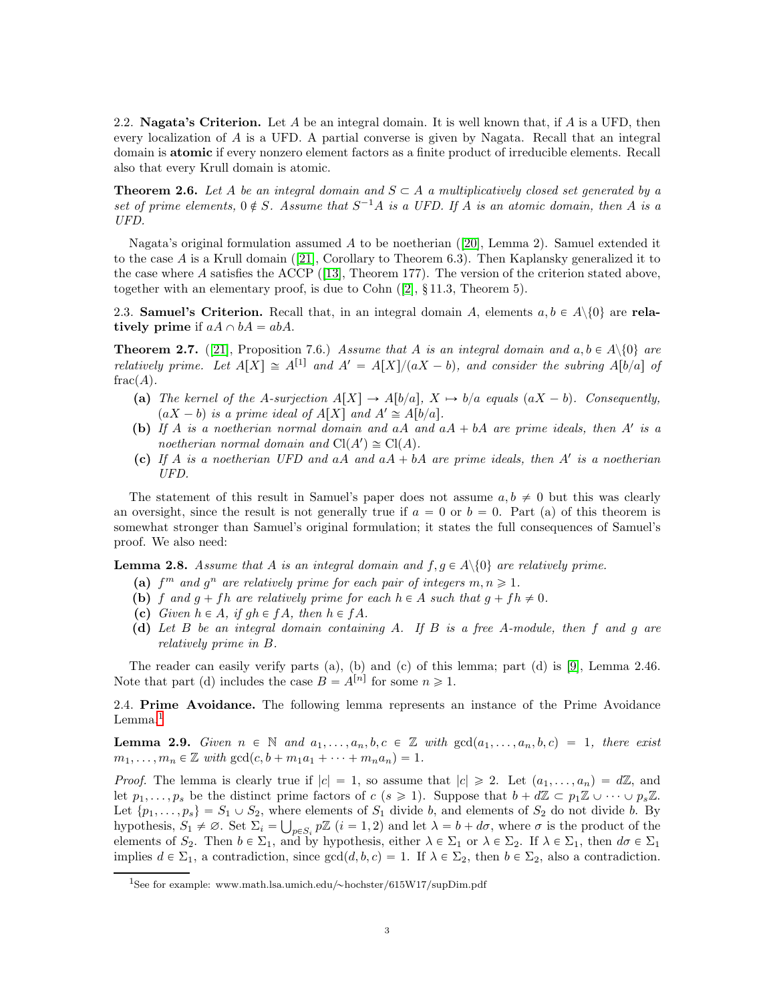2.2. **Nagata's Criterion.** Let A be an integral domain. It is well known that, if A is a UFD, then every localization of  $A$  is a UFD. A partial converse is given by Nagata. Recall that an integral domain is atomic if every nonzero element factors as a finite product of irreducible elements. Recall also that every Krull domain is atomic.

**Theorem 2.6.** Let A be an integral domain and  $S \subset A$  a multiplicatively closed set generated by a set of prime elements,  $0 \notin S$ . Assume that  $S^{-1}A$  is a UFD. If A is an atomic domain, then A is a UFD.

Nagata's original formulation assumed A to be noetherian ([\[20\]](#page-21-6), Lemma 2). Samuel extended it to the case A is a Krull domain  $([21],$  $([21],$  $([21],$  Corollary to Theorem 6.3). Then Kaplansky generalized it to the case where A satisfies the ACCP  $(13]$ , Theorem 177). The version of the criterion stated above, together with an elementary proof, is due to Cohn  $([2], \S 11.3,$  $([2], \S 11.3,$  $([2], \S 11.3,$  Theorem 5).

2.3. Samuel's Criterion. Recall that, in an integral domain A, elements  $a, b \in A \setminus \{0\}$  are relatively prime if  $aA \cap bA = abA$ .

<span id="page-2-1"></span>**Theorem 2.7.** ([\[21\]](#page-21-0), Proposition 7.6.) Assume that A is an integral domain and  $a, b \in A \setminus \{0\}$  are relatively prime. Let  $A[X] \cong A^{[1]}$  and  $A' = A[X]/(aX - b)$ , and consider the subring  $A[b/a]$  of  $frac(A)$ .

- (a) The kernel of the A-surjection  $A[X] \to A[b/a], X \mapsto b/a$  equals  $(aX b)$ . Consequently,  $(aX - b)$  is a prime ideal of  $A[X]$  and  $A' \cong A[b/a]$ .
- (b) If A is a noetherian normal domain and  $aA$  and  $aA + bA$  are prime ideals, then A' is a noetherian normal domain and  $Cl(A') \cong Cl(A)$ .
- (c) If A is a noetherian UFD and  $aA$  and  $aA + bA$  are prime ideals, then A' is a noetherian UFD.

The statement of this result in Samuel's paper does not assume  $a, b \neq 0$  but this was clearly an oversight, since the result is not generally true if  $a = 0$  or  $b = 0$ . Part (a) of this theorem is somewhat stronger than Samuel's original formulation; it states the full consequences of Samuel's proof. We also need:

<span id="page-2-2"></span>**Lemma 2.8.** Assume that A is an integral domain and  $f, g \in A \setminus \{0\}$  are relatively prime.

- (a)  $f^m$  and  $g^n$  are relatively prime for each pair of integers  $m, n \geq 1$ .
- (b) f and  $g + fh$  are relatively prime for each  $h \in A$  such that  $g + fh \neq 0$ .
- (c) Given  $h \in A$ , if  $gh \in fA$ , then  $h \in fA$ .
- (d) Let B be an integral domain containing A. If B is a free A-module, then f and g are relatively prime in B.

The reader can easily verify parts (a), (b) and (c) of this lemma; part (d) is [\[9\]](#page-21-9), Lemma 2.46. Note that part (d) includes the case  $B = A^{[n]}$  for some  $n \geq 1$ .

2.4. Prime Avoidance. The following lemma represents an instance of the Prime Avoidance Lemma.<sup>[1](#page-2-0)</sup>

<span id="page-2-3"></span>**Lemma 2.9.** Given  $n \in \mathbb{N}$  and  $a_1, \ldots, a_n, b, c \in \mathbb{Z}$  with  $gcd(a_1, \ldots, a_n, b, c) = 1$ , there exist  $m_1, \ldots, m_n \in \mathbb{Z}$  with  $gcd(c, b + m_1a_1 + \cdots + m_na_n) = 1.$ 

*Proof.* The lemma is clearly true if  $|c| = 1$ , so assume that  $|c| \ge 2$ . Let  $(a_1, \ldots, a_n) = d\mathbb{Z}$ , and let  $p_1, \ldots, p_s$  be the distinct prime factors of  $c$   $(s \geq 1)$ . Suppose that  $b + d\mathbb{Z} \subset p_1\mathbb{Z} \cup \cdots \cup p_s\mathbb{Z}$ . Let  $\{p_1, \ldots, p_s\} = S_1 \cup S_2$ , where elements of  $S_1$  divide b, and elements of  $S_2$  do not divide b. By hypothesis,  $S_1 \neq \emptyset$ . Set  $\Sigma_i = \bigcup_{p \in S_i} p\mathbb{Z}$   $(i = 1, 2)$  and let  $\lambda = b + d\sigma$ , where  $\sigma$  is the product of the elements of  $S_2$ . Then  $b \in \Sigma_1$ , and by hypothesis, either  $\lambda \in \Sigma_1$  or  $\lambda \in \Sigma_2$ . If  $\lambda \in \Sigma_1$ , then  $d\sigma \in \Sigma_1$ implies  $d \in \Sigma_1$ , a contradiction, since  $gcd(d, b, c) = 1$ . If  $\lambda \in \Sigma_2$ , then  $b \in \Sigma_2$ , also a contradiction.

<span id="page-2-0"></span><sup>&</sup>lt;sup>1</sup>See for example: www.math.lsa.umich.edu/~hochster/615W17/supDim.pdf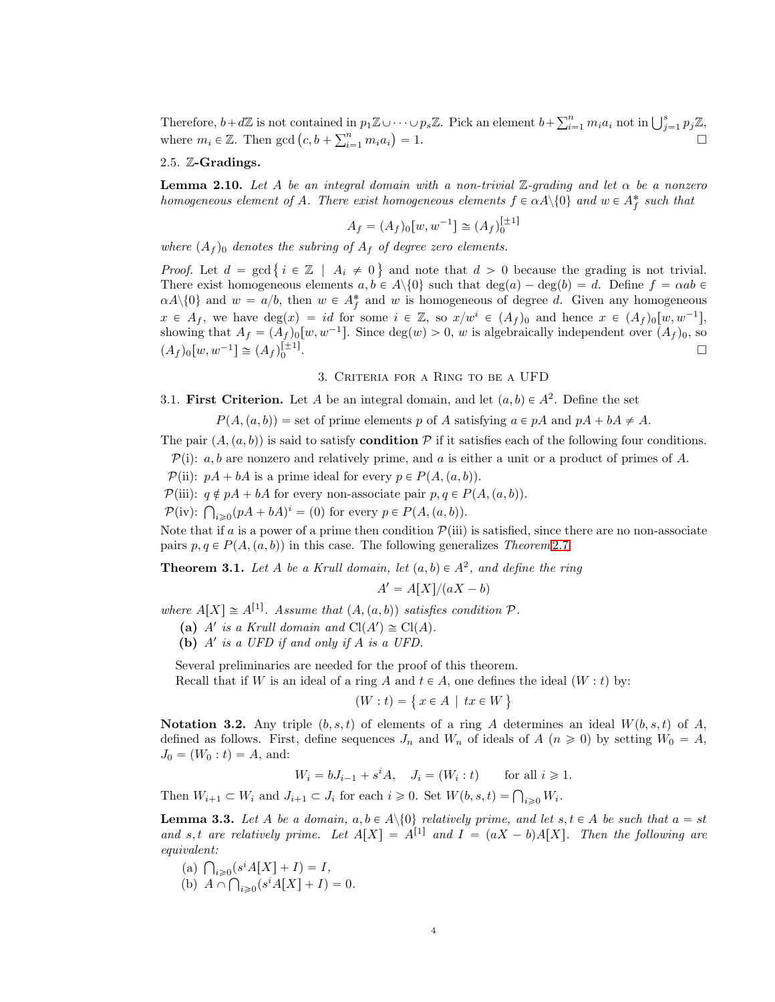Therefore,  $b+d\mathbb{Z}$  is not contained in  $p_1\mathbb{Z}\cup\cdots\cup p_s\mathbb{Z}$ . Pick an element  $b+\sum_{i=1}^n m_ia_i$  not in  $\bigcup_{j=1}^s p_j\mathbb{Z}$ , where  $m_i \in \mathbb{Z}$ . Then  $\gcd(c, b + \sum_{i=1}^n m_i a_i)$  $= 1.$ 

### 2.5. Z-Gradings.

<span id="page-3-3"></span>**Lemma 2.10.** Let A be an integral domain with a non-trivial  $\mathbb{Z}$ -grading and let  $\alpha$  be a nonzero homogeneous element of A. There exist homogeneous elements  $f \in \alpha A \setminus \{0\}$  and  $w \in A_f^*$  such that

$$
A_f = (A_f)_0[w, w^{-1}] \cong (A_f)_0^{[\pm 1]}
$$

where  $(A_f)$ <sup>0</sup> denotes the subring of  $A_f$  of degree zero elements.

*Proof.* Let  $d = \gcd\{i \in \mathbb{Z} \mid A_i \neq 0\}$  and note that  $d > 0$  because the grading is not trivial. There exist homogeneous elements  $a, b \in A \setminus \{0\}$  such that  $\deg(a) - \deg(b) = d$ . Define  $f = \alpha ab \in A$  $\alpha A \setminus \{0\}$  and  $w = a/b$ , then  $w \in A_f^*$  and w is homogeneous of degree d. Given any homogeneous  $x \in A_f$ , we have  $\deg(x) = id$  for some  $i \in \mathbb{Z}$ , so  $x/w^i \in (A_f)_0$  and hence  $x \in (A_f)_0[w, w^{-1}]$ , showing that  $A_f = (A_f)_0[w, w^{-1}]$ . Since  $deg(w) > 0$ , w is algebraically independent over  $(A_f)_0$ , so  $(A_f)_0[w, w^{-1}] \cong (A_f)_0^{[\pm 1]}$ . В последните последните последните последните последните последните последните последните последните последн<br>В 1990 година от селото на селото на селото на селото на селото на селото на селото на селото на селото на сел

## 3. Criteria for a Ring to be a UFD

<span id="page-3-1"></span>3.1. First Criterion. Let A be an integral domain, and let  $(a, b) \in A^2$ . Define the set

 $P(A, (a, b)) =$  set of prime elements p of A satisfying  $a \in pA$  and  $pA + bA \neq A$ .

The pair  $(A, (a, b))$  is said to satisfy **condition** P if it satisfies each of the following four conditions.

 $\mathcal{P}(i)$ : a, b are nonzero and relatively prime, and a is either a unit or a product of primes of A.

 $\mathcal{P}(\text{ii}): pA + bA$  is a prime ideal for every  $p \in P(A, (a, b)).$ 

 $\mathcal{P}$ (iii):  $q \notin pA + bA$  for every non-associate pair  $p, q \in P(A, (a, b)).$ 

 $\mathcal{P}(\text{iv})$ :  $\bigcap_{i \geqslant 0} (pA + bA)^i = (0)$  for every  $p \in P(A, (a, b))$ .

Note that if a is a power of a prime then condition  $\mathcal{P}(iii)$  is satisfied, since there are no non-associate pairs  $p, q \in P(A, (a, b))$  in this case. The following generalizes Theorem [2.7.](#page-2-1)

<span id="page-3-0"></span>**Theorem 3.1.** Let A be a Krull domain, let  $(a, b) \in A^2$ , and define the ring

$$
A' = A[X]/(aX - b)
$$

where  $A[X] \cong A^{[1]}$ . Assume that  $(A, (a, b))$  satisfies condition  $P$ .

- (a) A' is a Krull domain and  $Cl(A') \cong Cl(A)$ .
- (b)  $A'$  is a UFD if and only if  $A$  is a UFD.

Several preliminaries are needed for the proof of this theorem.

Recall that if W is an ideal of a ring A and  $t \in A$ , one defines the ideal  $(W : t)$  by:

 $(W : t) = \{ x \in A \mid tx \in W \}$ 

**Notation 3.2.** Any triple  $(b, s, t)$  of elements of a ring A determines an ideal  $W(b, s, t)$  of A, defined as follows. First, define sequences  $J_n$  and  $W_n$  of ideals of  $A$  ( $n \ge 0$ ) by setting  $W_0 = A$ ,  $J_0 = (W_0 : t) = A$ , and:

$$
W_i = bJ_{i-1} + s^i A, \quad J_i = (W_i : t) \quad \text{for all } i \geq 1.
$$

Then  $W_{i+1} \subset W_i$  and  $J_{i+1} \subset J_i$  for each  $i \geq 0$ . Set  $W(b, s, t) = \bigcap_{i \geq 0} W_i$ .

<span id="page-3-2"></span>**Lemma 3.3.** Let A be a domain,  $a, b \in A \setminus \{0\}$  relatively prime, and let  $s, t \in A$  be such that  $a = st$ and s, t are relatively prime. Let  $A[X] = A^{[1]}$  and  $I = (aX - b)A[X]$ . Then the following are equivalent:

- (a)  $\bigcap_{i \geq 0} (s^i A[X] + I) = I,$
- (b)  $A \cap \bigcap_{i \geq 0} (s^i A[X] + I) = 0.$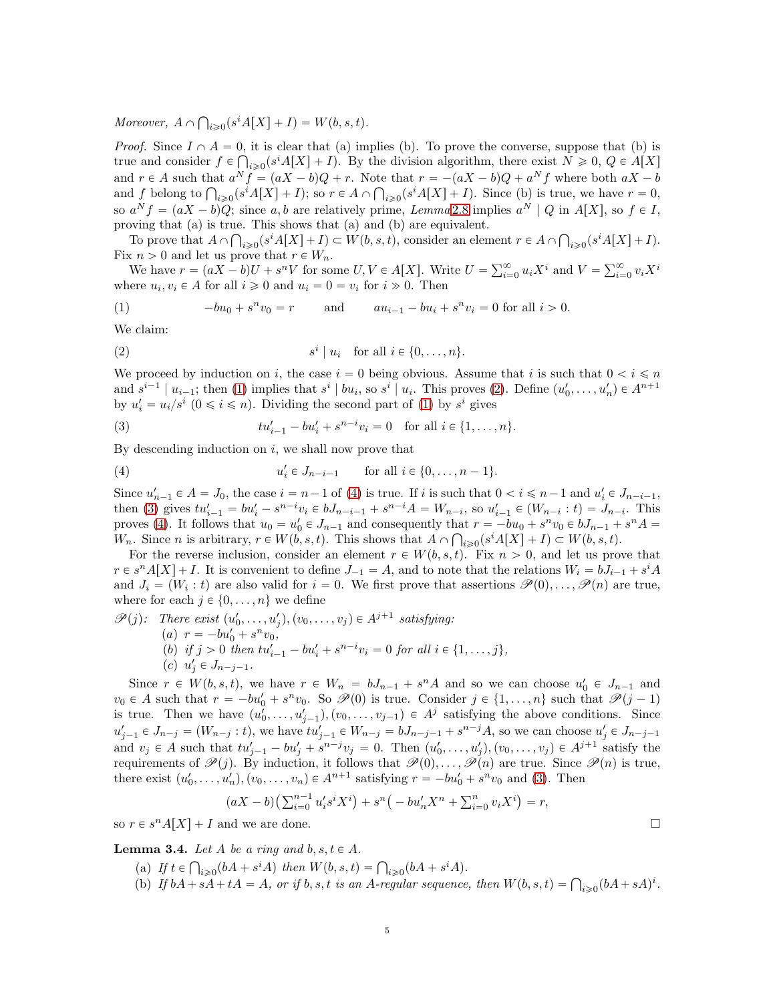Moreover,  $A \cap \bigcap_{i \geqslant 0} (s^i A[X] + I) = W(b, s, t)$ .

*Proof.* Since  $I \cap A = 0$ , it is clear that (a) implies (b). To prove the converse, suppose that (b) is true and consider  $f \in \bigcap_{i \geqslant 0} (s^i A[X] + I)$ . By the division algorithm, there exist  $N \geqslant 0, Q \in A[X]$ and  $r \in A$  such that  $a^N f = (aX - b)Q + r$ . Note that  $r = -(aX - b)Q + a^N f$  where both  $aX - b$ and f belong to  $\bigcap_{i\geqslant 0} (s^i A[X] + I)$ ; so  $r \in A \cap \bigcap_{i\geqslant 0} (s^i A[X] + I)$ . Since (b) is true, we have  $r = 0$ , so  $a^N f = (aX - b)Q$ ; since a, b are relatively prime, Lemma [2.8](#page-2-2) implies  $a^N \mid Q$  in  $A[X]$ , so  $f \in I$ , proving that (a) is true. This shows that (a) and (b) are equivalent.

To prove that  $A \cap \bigcap_{i \geq 0} (s^i A[X] + I) \subset W(b, s, t)$ , consider an element  $r \in A \cap \bigcap_{i \geq 0} (s^i A[X] + I)$ . Fix  $n > 0$  and let us prove that  $r \in W_n$ .

We have  $r = (aX - b)U + s^nV$  for some  $U, V \in A[X]$ . Write  $U = \sum_{i=0}^{\infty} u_iX^i$  and  $V = \sum_{i=0}^{\infty} v_iX^i$ where  $u_i, v_i \in A$  for all  $i \geq 0$  and  $u_i = 0 = v_i$  for  $i \geq 0$ . Then

<span id="page-4-0"></span>(1) 
$$
-bu_0 + s^n v_0 = r \quad \text{and} \quad au_{i-1} - bu_i + s^n v_i = 0 \text{ for all } i > 0.
$$

We claim:

<span id="page-4-1"></span>
$$
(2) \t si | ui for all  $i \in \{0, ..., n\}.$
$$

We proceed by induction on i, the case  $i = 0$  being obvious. Assume that i is such that  $0 < i \leq n$ and  $s^{i-1} \mid u_{i-1}$ ; then [\(1\)](#page-4-0) implies that  $s^i \mid bu_i$ , so  $s^i \mid u_i$ . This proves [\(2\)](#page-4-1). Define  $(u'_0, \ldots, u'_n) \in A^{n+1}$ by  $u'_i = u_i/s^i$   $(0 \le i \le n)$ . Dividing the second part of [\(1\)](#page-4-0) by  $s^i$  gives

<span id="page-4-3"></span>(3) 
$$
tu'_{i-1} - bu'_{i} + s^{n-i}v_{i} = 0 \text{ for all } i \in \{1, ..., n\}.
$$

By descending induction on  $i$ , we shall now prove that

<span id="page-4-2"></span>(4) 
$$
u'_i \in J_{n-i-1}
$$
 for all  $i \in \{0, ..., n-1\}.$ 

Since  $u'_{n-1} \in A = J_0$ , the case  $i = n-1$  of [\(4\)](#page-4-2) is true. If i is such that  $0 < i \leq n-1$  and  $u'_i \in J_{n-i-1}$ , then [\(3\)](#page-4-3) gives  $tu'_{i-1} = bu'_{i} - s^{n-i}v_{i} \in bJ_{n-i-1} + s^{n-i}A = W_{n-i}$ , so  $u'_{i-1} \in (W_{n-i} : t) = J_{n-i}$ . This proves [\(4\)](#page-4-2). It follows that  $u_0 = u'_0 \in J_{n-1}$  and consequently that  $r = -bu_0 + s^n v_0 \in bJ_{n-1} + s^n A =$  $W_n$ . Since *n* is arbitrary,  $r \in W(b, s, t)$ . This shows that  $A \cap \bigcap_{i \geqslant 0} (s^i A[X] + I) \subset W(b, s, t)$ .

For the reverse inclusion, consider an element  $r \in W(b, s, t)$ . Fix  $n > 0$ , and let us prove that  $r \in s^n A[X] + I$ . It is convenient to define  $J_{-1} = A$ , and to note that the relations  $W_i = bJ_{i-1} + s^i A$ and  $J_i = (W_i : t)$  are also valid for  $i = 0$ . We first prove that assertions  $\mathscr{P}(0), \ldots, \mathscr{P}(n)$  are true, where for each  $j \in \{0, \ldots, n\}$  we define

 $\mathscr{P}(j)$ : There exist  $(u'_0, \ldots, u'_j), (v_0, \ldots, v_j) \in A^{j+1}$  satisfying:

- (a)  $r = -bu'_0 + s^n v_0,$
- (b) if  $j > 0$  then  $tu'_{i-1} bu'_i + s^{n-i}v_i = 0$  for all  $i \in \{1, ..., j\}$ ,
- (c)  $u'_j \in J_{n-j-1}$ .

Since  $r \in W(b, s, t)$ , we have  $r \in W_n = bJ_{n-1} + s^n A$  and so we can choose  $u'_0 \in J_{n-1}$  and  $v_0 \in A$  such that  $r = -bu'_0 + s^n v_0$ . So  $\mathscr{P}(0)$  is true. Consider  $j \in \{1, ..., n\}$  such that  $\mathscr{P}(j-1)$ is true. Then we have  $(u'_0, \ldots, u'_{j-1}), (v_0, \ldots, v_{j-1}) \in A^j$  satisfying the above conditions. Since  $u'_{j-1} \in J_{n-j} = (W_{n-j} : t)$ , we have  $tu'_{j-1} \in W_{n-j} = bJ_{n-j-1} + s^{n-j}A$ , so we can choose  $u'_{j} \in J_{n-j-1}$ and  $v_j \in A$  such that  $tu'_{j-1} - bu'_j + s^{n-j}v_j = 0$ . Then  $(u'_0, \ldots, u'_j), (v_0, \ldots, v_j) \in A^{j+1}$  satisfy the requirements of  $\mathscr{P}(j)$ . By induction, it follows that  $\mathscr{P}(0), \ldots, \mathscr{P}(n)$  are true. Since  $\mathscr{P}(n)$  is true, there exist  $(u'_0, \ldots, u'_n), (v_0, \ldots, v_n) \in A^{n+1}$  satisfying  $r = -bu'_0 + s^n v_0$  and [\(3\)](#page-4-3). Then

$$
(aX - b) \left( \sum_{i=0}^{n-1} u_i' s^i X^i \right) + s^n \left( -b u_n' X^n + \sum_{i=0}^{n} v_i X^i \right) = r,
$$

so  $r \in s^n A[X] + I$  and we are done.

<span id="page-4-4"></span>**Lemma 3.4.** Let A be a ring and  $b, s, t \in A$ .

- (a) If  $t \in \bigcap_{i \geq 0} (bA + s^i A)$  then  $W(b, s, t) = \bigcap_{i \geq 0} (bA + s^i A)$ .
- (b) If  $bA + sA + tA = A$ , or if b, s, t is an A-regular sequence, then  $W(b, s, t) = \bigcap_{i \geq 0} (bA + sA)^i$ .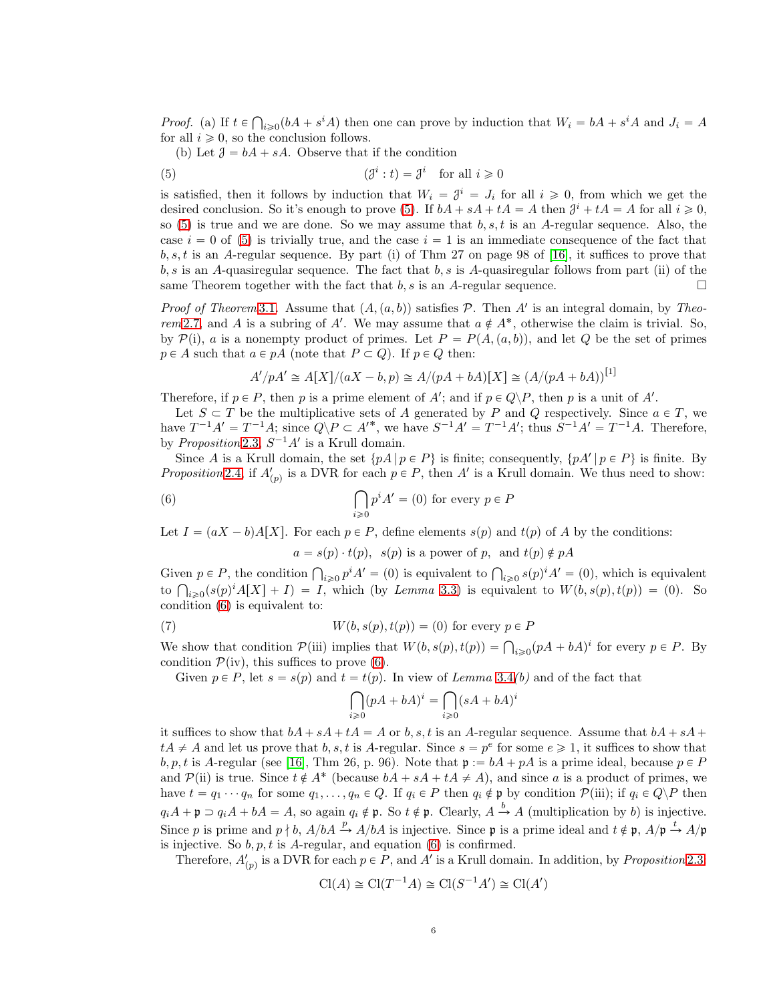*Proof.* (a) If  $t \in \bigcap_{i \geq 0} (bA + s^iA)$  then one can prove by induction that  $W_i = bA + s^iA$  and  $J_i = A$ for all  $i \geqslant 0$ , so the conclusion follows.

<span id="page-5-0"></span>(b) Let  $\mathcal{J} = bA + sA$ . Observe that if the condition

(5) 
$$
(\mathcal{J}^i : t) = \mathcal{J}^i \quad \text{for all } i \geq 0
$$

is satisfied, then it follows by induction that  $W_i = \mathcal{J}^i = J_i$  for all  $i \geq 0$ , from which we get the desired conclusion. So it's enough to prove [\(5\)](#page-5-0). If  $bA + sA + tA = A$  then  $\mathcal{J}^i + tA = A$  for all  $i \geq 0$ , so  $(5)$  is true and we are done. So we may assume that  $b, s, t$  is an A-regular sequence. Also, the case  $i = 0$  of [\(5\)](#page-5-0) is trivially true, and the case  $i = 1$  is an immediate consequence of the fact that  $b, s, t$  is an A-regular sequence. By part (i) of Thm 27 on page 98 of [\[16\]](#page-21-10), it suffices to prove that  $b, s$  is an A-quasiregular sequence. The fact that  $b, s$  is A-quasiregular follows from part (ii) of the same Theorem together with the fact that  $b, s$  is an A-regular sequence.

*Proof of Theorem* [3.1](#page-3-0). Assume that  $(A, (a, b))$  satisfies P. Then A' is an integral domain, by Theo-rem [2.7,](#page-2-1) and A is a subring of A'. We may assume that  $a \notin A^*$ , otherwise the claim is trivial. So, by  $\mathcal{P}(i)$ , a is a nonempty product of primes. Let  $P = P(A,(a, b))$ , and let Q be the set of primes  $p \in A$  such that  $a \in pA$  (note that  $P \subset Q$ ). If  $p \in Q$  then:

$$
A'/pA' \cong A[X]/(aX - b, p) \cong A/(pA + bA)[X] \cong (A/(pA + bA))^{[1]}
$$

Therefore, if  $p \in P$ , then p is a prime element of A'; and if  $p \in Q \backslash P$ , then p is a unit of A'.

Let  $S \subset T$  be the multiplicative sets of A generated by P and Q respectively. Since  $a \in T$ , we have  $T^{-1}A' = T^{-1}A$ ; since  $Q \backslash P \subset A'^*$ , we have  $S^{-1}A' = T^{-1}A'$ ; thus  $S^{-1}A' = T^{-1}A$ . Therefore, by *Proposition* [2.3,](#page-1-2)  $S^{-1}A'$  is a Krull domain.

Since A is a Krull domain, the set  $\{pA \mid p \in P\}$  is finite; consequently,  $\{pA' \mid p \in P\}$  is finite. By Proposition [2.4,](#page-1-3) if  $A'_{(p)}$  is a DVR for each  $p \in P$ , then A' is a Krull domain. We thus need to show:

(6) 
$$
\bigcap_{i\geq 0} p^i A' = (0) \text{ for every } p \in P
$$

Let  $I = (aX - b)A[X]$ . For each  $p \in P$ , define elements  $s(p)$  and  $t(p)$  of A by the conditions:

<span id="page-5-1"></span> $a = s(p) \cdot t(p)$ ,  $s(p)$  is a power of p, and  $t(p) \notin pA$ 

Given  $p \in P$ , the condition  $\bigcap_{i \geq 0} p^i A' = (0)$  is equivalent to  $\bigcap_{i \geq 0} s(p)^i A' = (0)$ , which is equivalent to  $\bigcap_{i\geqslant 0} (s(p)^i A[X] + I) = I$ , which (by Lemma [3.3\)](#page-3-2) is equivalent to  $W(b, s(p), t(p)) = (0)$ . So condition [\(6\)](#page-5-1) is equivalent to:

(7) 
$$
W(b, s(p), t(p)) = (0) \text{ for every } p \in P
$$

We show that condition  $\mathcal{P}(\text{iii})$  implies that  $W(b, s(p), t(p)) = \bigcap_{i \geqslant 0} (pA + bA)^i$  for every  $p \in P$ . By condition  $\mathcal{P}(iv)$ , this suffices to prove [\(6\)](#page-5-1).

Given  $p \in P$ , let  $s = s(p)$  and  $t = t(p)$ . In view of Lemma [3.4](#page-4-4)(b) and of the fact that

$$
\bigcap_{i\geq 0} (pA+bA)^i = \bigcap_{i\geq 0} (sA+bA)
$$

i

it suffices to show that  $bA + sA + tA = A$  or b, s, t is an A-regular sequence. Assume that  $bA + sA + tA = A$  $tA \neq A$  and let us prove that  $b, s, t$  is A-regular. Since  $s = p^e$  for some  $e \geq 1$ , it suffices to show that  $b, p, t$  is A-regular (see [\[16\]](#page-21-10), Thm 26, p. 96). Note that  $\mathfrak{p} := bA + pA$  is a prime ideal, because  $p \in P$ and  $\mathcal{P}$ (ii) is true. Since  $t \notin A^*$  (because  $bA + sA + tA \neq A$ ), and since a is a product of primes, we have  $t = q_1 \cdots q_n$  for some  $q_1, \ldots, q_n \in Q$ . If  $q_i \in P$  then  $q_i \notin \mathfrak{p}$  by condition  $\mathcal{P}$ (iii); if  $q_i \in Q \backslash P$  then  $q_iA + \mathfrak{p} \supset q_iA + bA = A$ , so again  $q_i \notin \mathfrak{p}$ . So  $t \notin \mathfrak{p}$ . Clearly,  $A \stackrel{b}{\to} A$  (multiplication by b) is injective. Since p is prime and  $p \nmid b$ ,  $A/bA \stackrel{p}{\rightarrow} A/bA$  is injective. Since p is a prime ideal and  $t \notin \mathfrak{p}$ ,  $A/\mathfrak{p} \stackrel{t}{\rightarrow} A/\mathfrak{p}$ is injective. So  $b, p, t$  is A-regular, and equation [\(6\)](#page-5-1) is confirmed.

Therefore,  $A'_{(p)}$  is a DVR for each  $p \in P$ , and  $A'$  is a Krull domain. In addition, by *Proposition* [2.3:](#page-1-2)

$$
\operatorname{Cl}(A) \cong \operatorname{Cl}(T^{-1}A) \cong \operatorname{Cl}(S^{-1}A') \cong \operatorname{Cl}(A')
$$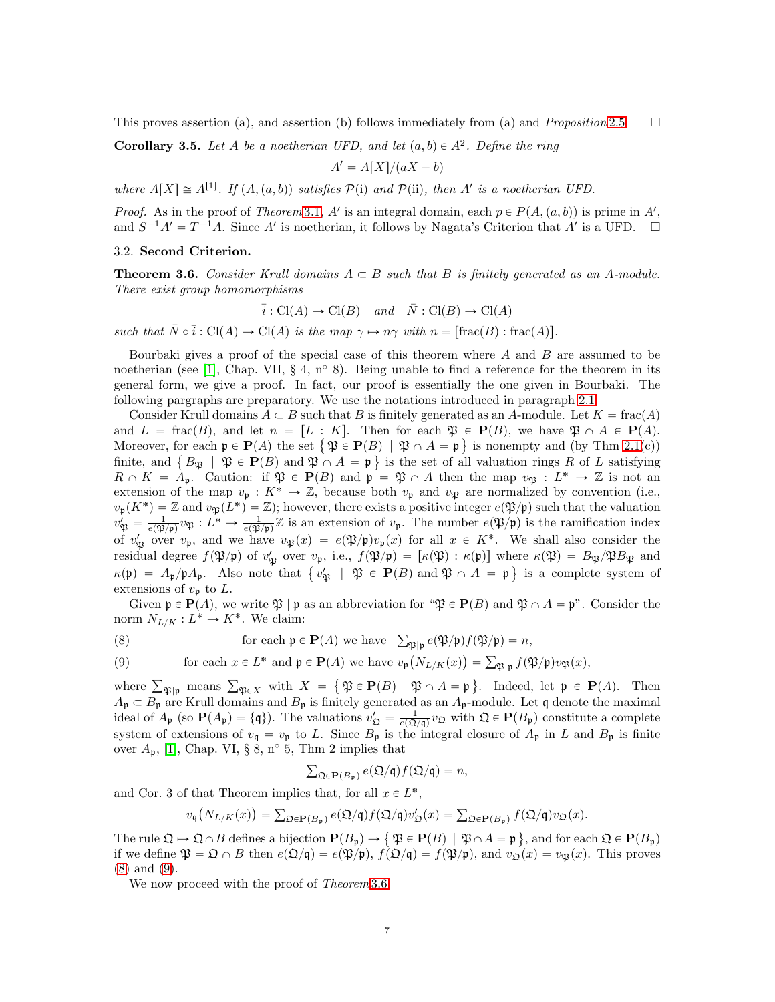This proves assertion (a), and assertion (b) follows immediately from (a) and *Proposition* [2.5.](#page-1-4)  $\square$ 

<span id="page-6-3"></span>**Corollary 3.5.** Let A be a noetherian UFD, and let  $(a, b) \in A^2$ . Define the ring

$$
A' = A[X]/(aX - b)
$$

where  $A[X] \cong A^{[1]}$ . If  $(A, (a, b))$  satisfies  $\mathcal{P}(i)$  and  $\mathcal{P}(ii)$ , then A' is a noetherian UFD.

*Proof.* As in the proof of *Theorem* [3.1,](#page-3-0) A' is an integral domain, each  $p \in P(A,(a, b))$  is prime in A', and  $S^{-1}A' = T^{-1}A$ . Since A' is noetherian, it follows by Nagata's Criterion that A' is a UFD.  $\square$ 

#### 3.2. Second Criterion.

<span id="page-6-2"></span>**Theorem 3.6.** Consider Krull domains  $A \subseteq B$  such that B is finitely generated as an A-module. There exist group homomorphisms

$$
\bar{i}: Cl(A) \to Cl(B)
$$
 and  $\bar{N}: Cl(B) \to Cl(A)$ 

such that  $\overline{N} \circ \overline{i} : Cl(A) \to Cl(A)$  is the map  $\gamma \mapsto n\gamma$  with  $n = [\text{frac}(B) : \text{frac}(A)].$ 

Bourbaki gives a proof of the special case of this theorem where  $A$  and  $B$  are assumed to be noetherian (see [\[1\]](#page-21-3), Chap. VII, § 4, n<sup>o</sup> 8). Being unable to find a reference for the theorem in its general form, we give a proof. In fact, our proof is essentially the one given in Bourbaki. The following pargraphs are preparatory. We use the notations introduced in paragraph [2.1.](#page-1-5)

Consider Krull domains  $A \subset B$  such that B is finitely generated as an A-module. Let  $K = \text{frac}(A)$ and  $L = \text{frac}(B)$ , and let  $n = [L : K]$ . Then for each  $\mathfrak{P} \in \mathbf{P}(B)$ , we have  $\mathfrak{P} \cap A \in \mathbf{P}(A)$ . Moreover, for each  $\mathfrak{p} \in \mathbf{P}(A)$  the set  $\{\mathfrak{P} \in \mathbf{P}(B) \mid \mathfrak{P} \cap A = \mathfrak{p}\}\$ is nonempty and (by Thm [2.1\(](#page-1-0)c)) finite, and  $\{B_{\mathfrak{P}} \mid \mathfrak{P} \in \mathbf{P}(B) \text{ and } \mathfrak{P} \cap A = \mathfrak{p} \}$  is the set of all valuation rings R of L satisfying  $R \cap K = \tilde{A}_{\mathfrak{p}}$ . Caution: if  $\mathfrak{P} \in \mathbf{P}(B)$  and  $\mathfrak{p} = \mathfrak{P} \cap A$  then the map  $v_{\mathfrak{P}} : L^* \to \mathbb{Z}$  is not an extension of the map  $v_{\mathfrak{p}}: K^* \to \mathbb{Z}$ , because both  $v_{\mathfrak{p}}$  and  $v_{\mathfrak{P}}$  are normalized by convention (i.e.,  $v_{\mathfrak{p}}(K^*) = \mathbb{Z}$  and  $v_{\mathfrak{P}}(L^*) = \mathbb{Z}$ ; however, there exists a positive integer  $e(\mathfrak{P}/\mathfrak{p})$  such that the valuation  $v'_{\mathfrak{P}} = \frac{1}{e(\mathfrak{P})}$  $\frac{1}{e(\mathfrak{P}/\mathfrak{p})} v_{\mathfrak{P}} : L^* \to \frac{1}{e(\mathfrak{P}/\mathfrak{p})} \mathbb{Z}$  is an extension of  $v_{\mathfrak{p}}$ . The number  $e(\mathfrak{P}/\mathfrak{p})$  is the ramification index of  $v'_{\mathfrak{P}}$  over  $v_{\mathfrak{p}}$ , and we have  $v_{\mathfrak{P}}(x) = e(\mathfrak{P}/\mathfrak{p})v_{\mathfrak{p}}(x)$  for all  $x \in K^*$ . We shall also consider the residual degree  $f(\mathfrak{P}/\mathfrak{p})$  of  $v'_{\mathfrak{P}}$  over  $v_{\mathfrak{p}}$ , i.e.,  $f(\mathfrak{P}/\mathfrak{p}) = [\kappa(\mathfrak{P}) : \kappa(\mathfrak{p})]$  where  $\kappa(\mathfrak{P}) = B_{\mathfrak{P}}/\mathfrak{P}B_{\mathfrak{P}}$  and  $\kappa(\mathfrak{p}) = A_{\mathfrak{p}}/\mathfrak{p}A_{\mathfrak{p}}$ . Also note that  $\{v_{\mathfrak{P}}' \mid \mathfrak{P} \in \mathbf{P}(B) \text{ and } \mathfrak{P} \cap A = \mathfrak{p} \}$  is a complete system of extensions of  $v_{\mathfrak{p}}$  to L.

Given  $\mathfrak{p} \in \mathbf{P}(A)$ , we write  $\mathfrak{P} | \mathfrak{p}$  as an abbreviation for " $\mathfrak{P} \in \mathbf{P}(B)$  and  $\mathfrak{P} \cap A = \mathfrak{p}$ ". Consider the norm  $N_{L/K}: L^* \to K^*$ . We claim:

<span id="page-6-0"></span>(8) for each  $\mathfrak{p} \in \mathbf{P}(A)$  we have  $\sum_{\mathfrak{P}|\mathfrak{p}} e(\mathfrak{P}/\mathfrak{p})f(\mathfrak{P}/\mathfrak{p}) = n$ ,

<span id="page-6-1"></span>(9) for each 
$$
x \in L^*
$$
 and  $\mathfrak{p} \in \mathbf{P}(A)$  we have  $v_{\mathfrak{p}}(N_{L/K}(x)) = \sum_{\mathfrak{P} | \mathfrak{p}} f(\mathfrak{P}/\mathfrak{p}) v_{\mathfrak{P}}(x)$ ,

where  $\sum_{\mathfrak{P} \mid \mathfrak{p}}$  means  $\sum_{\mathfrak{P} \in X}$  with  $X = \{ \mathfrak{P} \in \mathbf{P}(B) \mid \mathfrak{P} \cap A = \mathfrak{p} \}$ . Indeed, let  $\mathfrak{p} \in \mathbf{P}(A)$ . Then  $A_{\mathfrak{p}} \subset B_{\mathfrak{p}}$  are Krull domains and  $B_{\mathfrak{p}}$  is finitely generated as an  $A_{\mathfrak{p}}$ -module. Let q denote the maximal ideal of  $A_{\mathfrak{p}}$  (so  $\mathbf{P}(A_{\mathfrak{p}}) = \{\mathfrak{q}\}\)$ . The valuations  $v'_{\mathfrak{Q}} = \frac{1}{e(\mathfrak{Q})}$  $\frac{1}{e(\Omega/\mathfrak{q})}v_{\mathfrak{Q}}$  with  $\mathfrak{Q} \in \mathbf{P}(B_{\mathfrak{p}})$  constitute a complete system of extensions of  $v_{\mathfrak{q}} = v_{\mathfrak{p}}$  to L. Since  $B_{\mathfrak{p}}$  is the integral closure of  $A_{\mathfrak{p}}$  in L and  $B_{\mathfrak{p}}$  is finite over  $A_p$ , [\[1\]](#page-21-3), Chap. VI, § 8, n° 5, Thm 2 implies that

$$
\sum_{\mathfrak{Q}\in{\bf P}(B_{\mathfrak{p}})}e(\mathfrak{Q}/\mathfrak{q})f(\mathfrak{Q}/\mathfrak{q})=n,
$$

and Cor. 3 of that Theorem implies that, for all  $x \in L^*$ ,

$$
v_{\mathfrak{q}}(N_{L/K}(x)) = \sum_{\mathfrak{Q} \in \mathbf{P}(B_{\mathfrak{p}})} e(\mathfrak{Q}/\mathfrak{q}) f(\mathfrak{Q}/\mathfrak{q}) v_{\mathfrak{Q}}'(x) = \sum_{\mathfrak{Q} \in \mathbf{P}(B_{\mathfrak{p}})} f(\mathfrak{Q}/\mathfrak{q}) v_{\mathfrak{Q}}(x).
$$

The rule  $\mathfrak{Q} \mapsto \mathfrak{Q} \cap B$  defines a bijection  $\mathbf{P}(B_{\mathfrak{p}}) \to {\mathfrak{P}} \in \mathbf{P}(B) \mid \mathfrak{P} \cap A = \mathfrak{p}$ , and for each  $\mathfrak{Q} \in \mathbf{P}(B_{\mathfrak{p}})$ if we define  $\mathfrak{P} = \mathfrak{Q} \cap B$  then  $e(\mathfrak{Q}/q) = e(\mathfrak{P}/p)$ ,  $f(\mathfrak{Q}/q) = f(\mathfrak{P}/p)$ , and  $v_{\mathfrak{Q}}(x) = v_{\mathfrak{P}}(x)$ . This proves [\(8\)](#page-6-0) and [\(9\)](#page-6-1).

We now proceed with the proof of *Theorem* [3.6.](#page-6-2)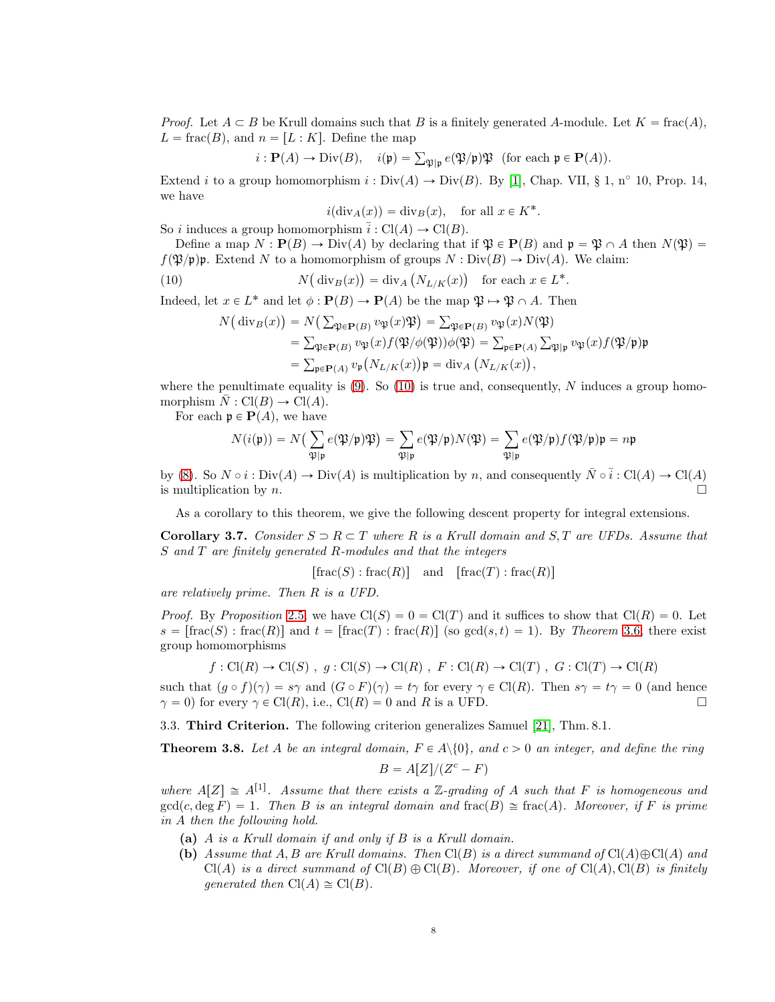*Proof.* Let  $A \subseteq B$  be Krull domains such that B is a finitely generated A-module. Let  $K = \text{frac}(A)$ ,  $L = \text{frac}(B)$ , and  $n = [L : K]$ . Define the map

$$
i: \mathbf{P}(A) \to \text{Div}(B), \quad i(\mathfrak{p}) = \sum_{\mathfrak{P}|\mathfrak{p}} e(\mathfrak{P}/\mathfrak{p}) \mathfrak{P} \text{ (for each } \mathfrak{p} \in \mathbf{P}(A)).
$$

Extend i to a group homomorphism  $i : Div(A) \to Div(B)$ . By [\[1\]](#page-21-3), Chap. VII, § 1, n° 10, Prop. 14, we have

.

<span id="page-7-1"></span>
$$
i(\text{div}_A(x)) = \text{div}_B(x)
$$
, for all  $x \in K^*$ 

So i induces a group homomorphism  $\overline{i}: Cl(A) \to Cl(B)$ .

Define a map  $N : \mathbf{P}(B) \to \text{Div}(A)$  by declaring that if  $\mathfrak{P} \in \mathbf{P}(B)$  and  $\mathfrak{p} = \mathfrak{P} \cap A$  then  $N(\mathfrak{P}) =$  $f(\mathfrak{P}/\mathfrak{p})$ . Extend N to a homomorphism of groups  $N : Div(B) \to Div(A)$ . We claim:

(10) 
$$
N(\text{div}_B(x)) = \text{div}_A (N_{L/K}(x)) \text{ for each } x \in L^*.
$$

Indeed, let  $x \in L^*$  and let  $\phi : \mathbf{P}(B) \to \mathbf{P}(A)$  be the map  $\mathfrak{P} \to \mathfrak{P} \cap A$ . Then

$$
N\big(\operatorname{div}_B(x)\big) = N\big(\sum_{\mathfrak{P}\in\mathbf{P}(B)} v_{\mathfrak{P}}(x)\mathfrak{P}\big) = \sum_{\mathfrak{P}\in\mathbf{P}(B)} v_{\mathfrak{P}}(x)N(\mathfrak{P})
$$
  
=  $\sum_{\mathfrak{P}\in\mathbf{P}(B)} v_{\mathfrak{P}}(x) f(\mathfrak{P}/\phi(\mathfrak{P}))\phi(\mathfrak{P}) = \sum_{\mathfrak{p}\in\mathbf{P}(A)} \sum_{\mathfrak{P}|\mathfrak{p}} v_{\mathfrak{P}}(x) f(\mathfrak{P}/\mathfrak{p})\mathfrak{p}$   
=  $\sum_{\mathfrak{p}\in\mathbf{P}(A)} v_{\mathfrak{p}}\big(N_{L/K}(x)\big)\mathfrak{p} = \operatorname{div}_A\big(N_{L/K}(x)\big),$ 

where the penultimate equality is  $(9)$ . So  $(10)$  is true and, consequently, N induces a group homomorphism  $N : Cl(B) \to Cl(A)$ .

For each  $\mathfrak{p} \in \mathbf{P}(A)$ , we have

$$
N(i(\mathfrak{p})) = N\left(\sum_{\mathfrak{P}|\mathfrak{p}} e(\mathfrak{P}/\mathfrak{p})\mathfrak{P}\right) = \sum_{\mathfrak{P}|\mathfrak{p}} e(\mathfrak{P}/\mathfrak{p})N(\mathfrak{P}) = \sum_{\mathfrak{P}|\mathfrak{p}} e(\mathfrak{P}/\mathfrak{p})f(\mathfrak{P}/\mathfrak{p})\mathfrak{p} = n\mathfrak{p}
$$

by [\(8\)](#page-6-0). So  $N \circ i : Div(A) \to Div(A)$  is multiplication by n, and consequently  $\overline{N} \circ \overline{i} : Cl(A) \to Cl(A)$ is multiplication by  $n$ .

As a corollary to this theorem, we give the following descent property for integral extensions.

Corollary 3.7. Consider  $S \supset R \subset T$  where R is a Krull domain and S, T are UFDs. Assume that S and T are finitely generated R-modules and that the integers

$$
[\operatorname{frac}(S) : \operatorname{frac}(R)] \quad \text{and} \quad [\operatorname{frac}(T) : \operatorname{frac}(R)]
$$

are relatively prime. Then R is a UFD.

*Proof.* By Proposition [2.5,](#page-1-4) we have  $Cl(S) = 0 = Cl(T)$  and it suffices to show that  $Cl(R) = 0$ . Let  $s = \lceil \text{frac}(S) : \text{frac}(R) \rceil$  and  $t = \lceil \text{frac}(T) : \text{frac}(R) \rceil$  (so  $\gcd(s, t) = 1$ ). By Theorem [3.6,](#page-6-2) there exist group homomorphisms

$$
f : \text{Cl}(R) \to \text{Cl}(S)
$$
,  $g : \text{Cl}(S) \to \text{Cl}(R)$ ,  $F : \text{Cl}(R) \to \text{Cl}(T)$ ,  $G : \text{Cl}(T) \to \text{Cl}(R)$ 

such that  $(g \circ f)(\gamma) = s\gamma$  and  $(G \circ F)(\gamma) = t\gamma$  for every  $\gamma \in \mathrm{Cl}(R)$ . Then  $s\gamma = t\gamma = 0$  (and hence  $\gamma = 0$ ) for every  $\gamma \in \text{Cl}(R)$ , i.e.,  $\text{Cl}(R) = 0$  and R is a UFD.

3.3. Third Criterion. The following criterion generalizes Samuel [\[21\]](#page-21-0), Thm. 8.1.

<span id="page-7-0"></span>**Theorem 3.8.** Let A be an integral domain,  $F \in A \setminus \{0\}$ , and  $c > 0$  an integer, and define the ring

$$
B = A[Z]/(Z^c - F)
$$

where  $A[Z] \cong A^{[1]}$ . Assume that there exists a Z-grading of A such that F is homogeneous and  $gcd(c, deg F) = 1$ . Then B is an integral domain and frac $(B) \cong frac(A)$ . Moreover, if F is prime in A then the following hold.

- (a) A is a Krull domain if and only if B is a Krull domain.
- (b) Assume that A, B are Krull domains. Then  $Cl(B)$  is a direct summand of  $Cl(A)\oplus Cl(A)$  and  $Cl(A)$  is a direct summand of  $Cl(B) \oplus Cl(B)$ . Moreover, if one of  $Cl(A), Cl(B)$  is finitely generated then  $Cl(A) \cong Cl(B)$ .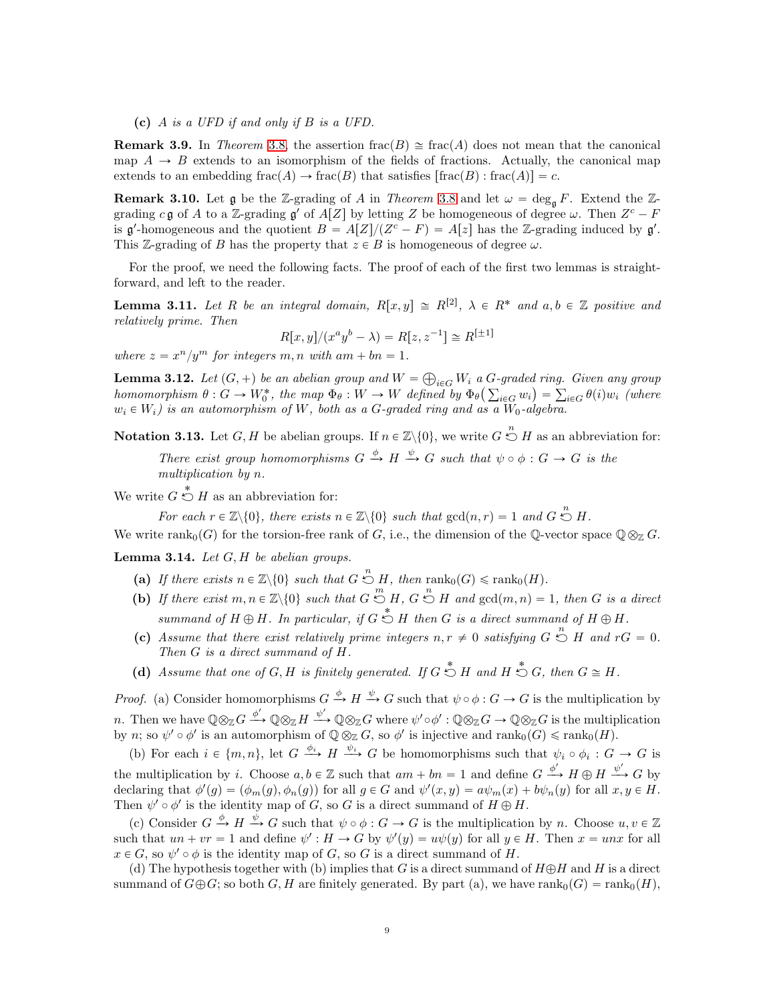(c) A is a UFD if and only if B is a UFD.

**Remark 3.9.** In Theorem [3.8,](#page-7-0) the assertion frac(B)  $\cong$  frac(A) does not mean that the canonical map  $A \rightarrow B$  extends to an isomorphism of the fields of fractions. Actually, the canonical map extends to an embedding frac $(A) \to \text{frac}(B)$  that satisfies  $[\text{frac}(B) : \text{frac}(A)] = c$ .

<span id="page-8-1"></span>**Remark 3.10.** Let g be the Z-grading of A in Theorem [3.8](#page-7-0) and let  $\omega = \deg_{\mathfrak{g}} F$ . Extend the Zgrading c **g** of A to a Z-grading **g'** of  $A[Z]$  by letting Z be homogeneous of degree  $\omega$ . Then  $Z^c - F$ is  $\mathfrak{g}'$ -homogeneous and the quotient  $B = A[Z]/(Z^c - F) = A[z]$  has the Z-grading induced by  $\mathfrak{g}'$ . This Z-grading of B has the property that  $z \in B$  is homogeneous of degree  $\omega$ .

For the proof, we need the following facts. The proof of each of the first two lemmas is straightforward, and left to the reader.

<span id="page-8-0"></span>**Lemma 3.11.** Let R be an integral domain,  $R[x, y] \cong R^{[2]}$ ,  $\lambda \in R^*$  and  $a, b \in \mathbb{Z}$  positive and relatively prime. Then

$$
R[x, y]/(x^{a}y^{b} - \lambda) = R[z, z^{-1}] \cong R^{[\pm 1]}
$$

where  $z = x^n/y^m$  for integers m, n with am + bn = 1.

<span id="page-8-2"></span>**Lemma 3.12.** Let  $(G, +)$  be an abelian group and  $W = \bigoplus_{i \in G} W_i$  a  $G$ -graded ring. Given any group homomorphism  $\theta: G \to W_0^*$ , the map  $\Phi_{\theta}: W \to W$  defined by  $\Phi_{\theta}(\sum_{i \in G} w_i) = \sum_{i \in G} \theta(i) w_i$  (where  $w_i \in W_i$ ) is an automorphism of W, both as a G-graded ring and as a W<sub>0</sub>-algebra.

<span id="page-8-3"></span>**Notation 3.13.** Let  $G, H$  be abelian groups. If  $n \in \mathbb{Z}\backslash\{0\}$ , we write  $G \stackrel{n}{\circlearrowright} H$  as an abbreviation for: There exist group homomorphisms  $G \xrightarrow{\phi} H \xrightarrow{\psi} G$  such that  $\psi \circ \phi : G \to G$  is the multiplication by n.

We write  $G \stackrel{*}{\circlearrowright} H$  as an abbreviation for:

For each  $r \in \mathbb{Z} \setminus \{0\}$ , there exists  $n \in \mathbb{Z} \setminus \{0\}$  such that  $gcd(n, r) = 1$  and  $G \stackrel{n}{\circlearrowright} H$ .

We write rank<sub>0</sub>(G) for the torsion-free rank of G, i.e., the dimension of the Q-vector space  $\mathbb{Q} \otimes_{\mathbb{Z}} G$ .

<span id="page-8-4"></span>**Lemma 3.14.** Let  $G$ ,  $H$  be abelian groups.

- (a) If there exists  $n \in \mathbb{Z} \setminus \{0\}$  such that  $G \stackrel{n}{\circlearrowright} H$ , then  $\text{rank}_0(G) \leq \text{rank}_0(H)$ .
- (b) If there exist  $m, n \in \mathbb{Z} \setminus \{0\}$  such that  $G \stackrel{m}{\circlearrowleft} H$ ,  $G \stackrel{n}{\circlearrowleft} H$  and  $gcd(m, n) = 1$ , then G is a direct summand of  $H \oplus H$ . In particular, if  $G \stackrel{*}{\circlearrowright} H$  then G is a direct summand of  $H \oplus H$ .
- (c) Assume that there exist relatively prime integers  $n, r \neq 0$  satisfying  $G \stackrel{n}{\circlearrowright} H$  and  $rG = 0$ . Then G is a direct summand of H.
- (d) Assume that one of  $G, H$  is finitely generated. If  $G \stackrel{*}{\circlearrowright} H$  and  $H \stackrel{*}{\circlearrowright} G$ , then  $G \cong H$ .

*Proof.* (a) Consider homomorphisms  $G \stackrel{\phi}{\to} H \stackrel{\psi}{\to} G$  such that  $\psi \circ \phi : G \to G$  is the multiplication by n. Then we have  $\mathbb{Q} \otimes_{\mathbb{Z}} G \xrightarrow{\phi'} \mathbb{Q} \otimes_{\mathbb{Z}} H \xrightarrow{\psi'} \mathbb{Q} \otimes_{\mathbb{Z}} G$  where  $\psi' \circ \phi' : \mathbb{Q} \otimes_{\mathbb{Z}} G \to \mathbb{Q} \otimes_{\mathbb{Z}} G$  is the multiplication by n; so  $\psi' \circ \phi'$  is an automorphism of  $\mathbb{Q} \otimes_{\mathbb{Z}} G$ , so  $\phi'$  is injective and  $\text{rank}_0(G) \leq \text{rank}_0(H)$ .

(b) For each  $i \in \{m, n\}$ , let  $G \stackrel{\phi_i}{\longrightarrow} H \stackrel{\psi_i}{\longrightarrow} G$  be homomorphisms such that  $\psi_i \circ \phi_i : G \to G$  is the multiplication by i. Choose  $a, b \in \mathbb{Z}$  such that  $am + bn = 1$  and define  $G \xrightarrow{\phi'} H \oplus H \xrightarrow{\psi'} G$  by declaring that  $\phi'(g) = (\phi_m(g), \phi_n(g))$  for all  $g \in G$  and  $\psi'(x, y) = a\psi_m(x) + b\psi_n(y)$  for all  $x, y \in H$ . Then  $\psi' \circ \phi'$  is the identity map of G, so G is a direct summand of  $H \oplus H$ .

(c) Consider  $G \xrightarrow{\phi} H \xrightarrow{\psi} G$  such that  $\psi \circ \phi : G \to G$  is the multiplication by n. Choose  $u, v \in \mathbb{Z}$ such that  $un + vr = 1$  and define  $\psi': H \to G$  by  $\psi'(y) = u\psi(y)$  for all  $y \in H$ . Then  $x = unx$  for all  $x \in G$ , so  $\psi' \circ \phi$  is the identity map of G, so G is a direct summand of H.

(d) The hypothesis together with (b) implies that G is a direct summand of  $H \oplus H$  and H is a direct summand of  $G \oplus G$ ; so both G, H are finitely generated. By part (a), we have rank<sub>0</sub> $(G) = \text{rank}_{0}(H)$ ,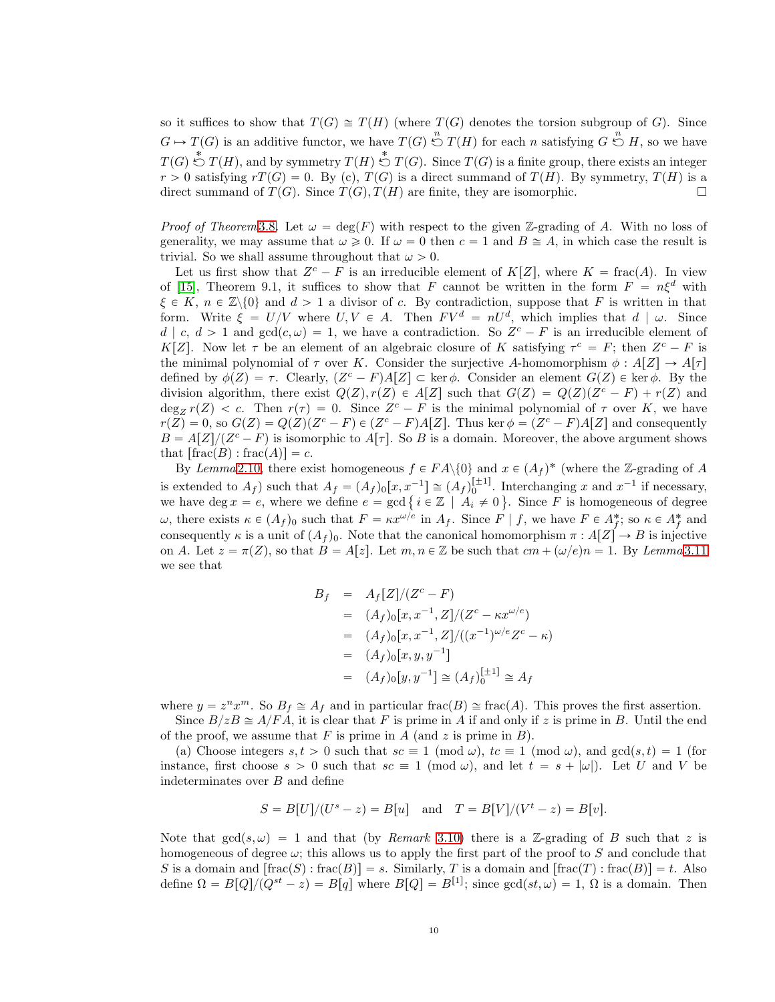so it suffices to show that  $T(G) \cong T(H)$  (where  $T(G)$  denotes the torsion subgroup of G). Since  $G \mapsto T(G)$  is an additive functor, we have  $T(G) \stackrel{n}{\circlearrowright} T(H)$  for each n satisfying  $G \stackrel{n}{\circlearrowright} H$ , so we have  $T(G) \stackrel{*}{\circlearrowright} T(H)$ , and by symmetry  $T(H) \stackrel{*}{\circlearrowright} T(G)$ . Since  $T(G)$  is a finite group, there exists an integer  $r > 0$  satisfying  $rT(G) = 0$ . By (c),  $T(G)$  is a direct summand of  $T(H)$ . By symmetry,  $T(H)$  is a direct summand of  $T(G)$ . Since  $T(G)$ ,  $T(H)$  are finite, they are isomorphic.

*Proof of Theorem* [3.8](#page-7-0). Let  $\omega = \deg(F)$  with respect to the given Z-grading of A. With no loss of generality, we may assume that  $\omega \geq 0$ . If  $\omega = 0$  then  $c = 1$  and  $B \cong A$ , in which case the result is trivial. So we shall assume throughout that  $\omega > 0$ .

Let us first show that  $Z^c - F$  is an irreducible element of  $K[Z]$ , where  $K = \text{frac}(A)$ . In view of [\[15\]](#page-21-11), Theorem 9.1, it suffices to show that F cannot be written in the form  $F = n\xi^d$  with  $\xi \in K$ ,  $n \in \mathbb{Z}\backslash\{0\}$  and  $d > 1$  a divisor of c. By contradiction, suppose that F is written in that form. Write  $\xi = U/V$  where  $U, V \in A$ . Then  $F V^d = nU^d$ , which implies that  $d | \omega$ . Since  $d \mid c, d > 1$  and  $gcd(c, \omega) = 1$ , we have a contradiction. So  $Z<sup>c</sup> - F$  is an irreducible element of K[Z]. Now let  $\tau$  be an element of an algebraic closure of K satisfying  $\tau^c = F$ ; then  $Z^c - F$  is the minimal polynomial of  $\tau$  over K. Consider the surjective A-homomorphism  $\phi : A[Z] \to A[\tau]$ defined by  $\phi(Z) = \tau$ . Clearly,  $(Z^c - F)A[Z] \subset \text{ker }\phi$ . Consider an element  $G(Z) \in \text{ker }\phi$ . By the division algorithm, there exist  $Q(Z), r(Z) \in A[Z]$  such that  $G(Z) = Q(Z)(Z^c - F) + r(Z)$  and  $\deg_Z r(Z) < c$ . Then  $r(\tau) = 0$ . Since  $Z^c - F$  is the minimal polynomial of  $\tau$  over K, we have  $r(Z) = 0$ , so  $G(Z) = Q(Z)(Z^c - F) \in (Z^c - F)A[Z]$ . Thus ker  $\phi = (Z^c - F)A[Z]$  and consequently  $B = A[Z]/(Z^c - F)$  is isomorphic to  $A[\tau]$ . So B is a domain. Moreover, the above argument shows that  $\lceil \operatorname{frac}(B) : \operatorname{frac}(A) \rceil = c$ .

By Lemma [2.10,](#page-3-3) there exist homogeneous  $f \in FA \setminus \{0\}$  and  $x \in (A_f)^*$  (where the Z-grading of A is extended to  $A_f$ ) such that  $A_f = (A_f)_0[x, x^{-1}] \cong (A_f)_0^{[ \pm 1 ]}$ . Interchanging x and  $x^{-1}$  if necessary, we have deg  $x = e$ , where we define  $e = \gcd\{i \in \mathbb{Z} \mid A_i \neq 0\}$ . Since F is homogeneous of degree ω, there exists  $\kappa \in (A_f)_0$  such that  $F = \kappa x^{\omega/e}$  in  $A_f$ . Since  $F | f$ , we have  $F \in A_f^*$ ; so  $\kappa \in A_f^*$  and consequently  $\kappa$  is a unit of  $(A_f)_0$ . Note that the canonical homomorphism  $\pi : A[Z] \to B$  is injective on A. Let  $z = \pi(Z)$ , so that  $B = A[z]$ . Let  $m, n \in \mathbb{Z}$  be such that  $cm + (\omega/e)n = 1$ . By Lemma [3.11](#page-8-0) we see that

$$
B_f = A_f[Z]/(Z^c - F)
$$
  
=  $(A_f)_0[x, x^{-1}, Z]/(Z^c - \kappa x^{\omega/e})$   
=  $(A_f)_0[x, x^{-1}, Z]/((x^{-1})^{\omega/e}Z^c - \kappa)$   
=  $(A_f)_0[x, y, y^{-1}]$   
=  $(A_f)_0[y, y^{-1}] \cong (A_f)_0^{[\pm 1]} \cong A_f$ 

where  $y = z^n x^m$ . So  $B_f \cong A_f$  and in particular frac(B)  $\cong$  frac(A). This proves the first assertion.

Since  $B/zB \cong A/FA$ , it is clear that F is prime in A if and only if z is prime in B. Until the end of the proof, we assume that  $F$  is prime in  $A$  (and  $z$  is prime in  $B$ ).

(a) Choose integers  $s, t > 0$  such that  $sc \equiv 1 \pmod{\omega}$ ,  $tc \equiv 1 \pmod{\omega}$ , and  $gcd(s, t) = 1$  (for instance, first choose  $s > 0$  such that  $sc \equiv 1 \pmod{\omega}$ , and let  $t = s + |\omega|$ . Let U and V be indeterminates over B and define

$$
S = B[U]/(U^{s} - z) = B[u] \text{ and } T = B[V]/(V^{t} - z) = B[v].
$$

Note that  $gcd(s, \omega) = 1$  and that (by *Remark* [3.10\)](#page-8-1) there is a Z-grading of B such that z is homogeneous of degree  $\omega$ ; this allows us to apply the first part of the proof to S and conclude that S is a domain and  $[\text{frac}(S) : \text{frac}(B)] = s$ . Similarly, T is a domain and  $[\text{frac}(T) : \text{frac}(B)] = t$ . Also define  $\Omega = B[Q]/(Q^{st} - z) = B[q]$  where  $B[Q] = B^{[1]}$ ; since  $gcd(st, \omega) = 1$ ,  $\Omega$  is a domain. Then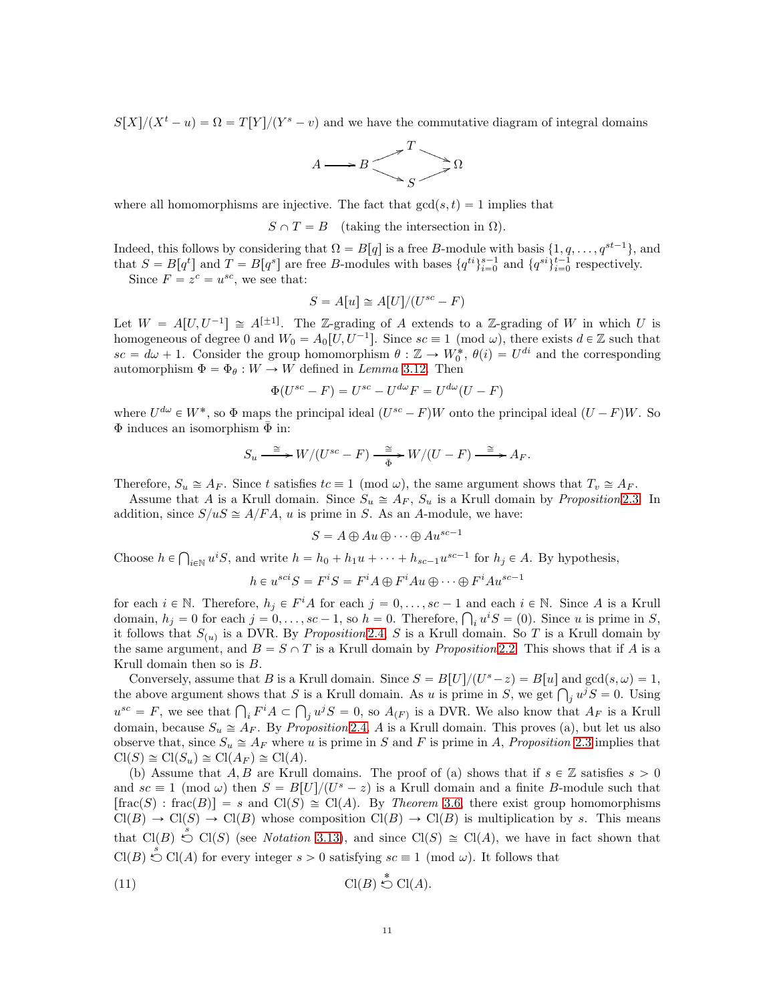$S[X]/(X^t - u) = \Omega = T[Y]/(Y^s - v)$  and we have the commutative diagram of integral domains



where all homomorphisms are injective. The fact that  $gcd(s, t) = 1$  implies that

 $S \cap T = B$  (taking the intersection in  $\Omega$ ).

Indeed, this follows by considering that  $\Omega = B[q]$  is a free B-module with basis  $\{1, q, \ldots, q^{st-1}\}$ , and that  $S = B[q^t]$  and  $T = B[q^s]$  are free B-modules with bases  ${q^{ti}}_{i=0}^{s-1}$  and  ${q^{si}}_{i=0}^{t-1}$  respectively.

Since  $F = z^c = u^{sc}$ , we see that:

$$
S = A[u] \cong A[U]/(U^{sc} - F)
$$

Let  $W = A[U, U^{-1}] \cong A^{[\pm 1]}$ . The Z-grading of A extends to a Z-grading of W in which U is homogeneous of degree 0 and  $W_0 = A_0[U, U^{-1}]$ . Since  $sc \equiv 1 \pmod{\omega}$ , there exists  $d \in \mathbb{Z}$  such that  $sc = d\omega + 1$ . Consider the group homomorphism  $\theta : \mathbb{Z} \to W_0^*, \theta(i) = U^{di}$  and the corresponding automorphism  $\Phi = \Phi_{\theta}: W \to W$  defined in Lemma [3.12.](#page-8-2) Then

$$
\Phi(U^{sc} - F) = U^{sc} - U^{d\omega}F = U^{d\omega}(U - F)
$$

where  $U^{d\omega} \in W^*$ , so  $\Phi$  maps the principal ideal  $(U^{sc} - F)W$  onto the principal ideal  $(U - F)W$ . So  $\Phi$  induces an isomorphism  $\bar{\Phi}$  in:

$$
S_u \overset{\cong}{\longrightarrow} W/(U^{sc}-F) \overset{\cong}{\underset{\bar{\Phi}}{\longrightarrow}} W/(U-F) \overset{\cong}{\longrightarrow} A_F.
$$

Therefore,  $S_u \cong A_F$ . Since t satisfies  $tc \equiv 1 \pmod{\omega}$ , the same argument shows that  $T_v \cong A_F$ .

Assume that A is a Krull domain. Since  $S_u \cong A_F$ ,  $S_u$  is a Krull domain by *Proposition* [2.3.](#page-1-2) In addition, since  $S/uS \cong A/FA$ , u is prime in S. As an A-module, we have:

$$
S = A \oplus Au \oplus \cdots \oplus Au^{sc-1}
$$

Choose  $h \in \bigcap_{i \in \mathbb{N}} u^i S$ , and write  $h = h_0 + h_1 u + \cdots + h_{sc-1} u^{sc-1}$  for  $h_j \in A$ . By hypothesis,

$$
h\in u^{sci}S=F^iS=F^iA\oplus F^iAu\oplus\cdot\cdot\cdot\oplus F^iAu^{sc-1}
$$

for each  $i \in \mathbb{N}$ . Therefore,  $h_j \in F^iA$  for each  $j = 0, \ldots, sc - 1$  and each  $i \in \mathbb{N}$ . Since A is a Krull domain,  $h_j = 0$  for each  $j = 0, \ldots, sc - 1$ , so  $h = 0$ . Therefore,  $\bigcap_i u^i S = (0)$ . Since u is prime in S, it follows that  $S_{(u)}$  is a DVR. By *Proposition* [2.4,](#page-1-3) S is a Krull domain. So T is a Krull domain by the same argument, and  $B = S \cap T$  is a Krull domain by *Proposition* [2.2.](#page-1-1) This shows that if A is a Krull domain then so is B.

Conversely, assume that B is a Krull domain. Since  $S = B[U]/(U<sup>s</sup> - z) = B[u]$  and  $gcd(s, \omega) = 1$ , the above argument shows that S is a Krull domain. As u is prime in S, we get  $\bigcap_j u^j S = 0$ . Using  $u^{sc} = F$ , we see that  $\bigcap_i F^i A \subset \bigcap_j u^j S = 0$ , so  $A_{(F)}$  is a DVR. We also know that  $A_F$  is a Krull domain, because  $S_u \cong A_F$ . By *Proposition* [2.4,](#page-1-3) A is a Krull domain. This proves (a), but let us also observe that, since  $S_u \cong A_F$  where u is prime in S and F is prime in A, Proposition [2.3](#page-1-2) implies that  $Cl(S) \cong Cl(S_u) \cong Cl(A_F) \cong Cl(A).$ 

(b) Assume that A, B are Krull domains. The proof of (a) shows that if  $s \in \mathbb{Z}$  satisfies  $s > 0$ and  $sc \equiv 1 \pmod{\omega}$  then  $S = B[U]/(U^s - z)$  is a Krull domain and a finite B-module such that  $\lceil\text{frac}(S) : \text{frac}(B)\rceil = s$  and  $\text{Cl}(S) \cong \text{Cl}(A)$ . By Theorem [3.6,](#page-6-2) there exist group homomorphisms  $Cl(B) \to Cl(S) \to Cl(B)$  whose composition  $Cl(B) \to Cl(B)$  is multiplication by s. This means that  $Cl(B) \stackrel{s}{\smile} Cl(S)$  (see *Notation* [3.13\)](#page-8-3), and since  $Cl(S) \cong Cl(A)$ , we have in fact shown that  $Cl(B) \stackrel{s}{\circlearrowleft} Cl(A)$  for every integer  $s > 0$  satisfying  $sc \equiv 1 \pmod{\omega}$ . It follows that

<span id="page-10-0"></span>
$$
(11) \t\t\t \t\td{Cl(B) \stackrel{*}{\circlearrowright} Cl(A)}.
$$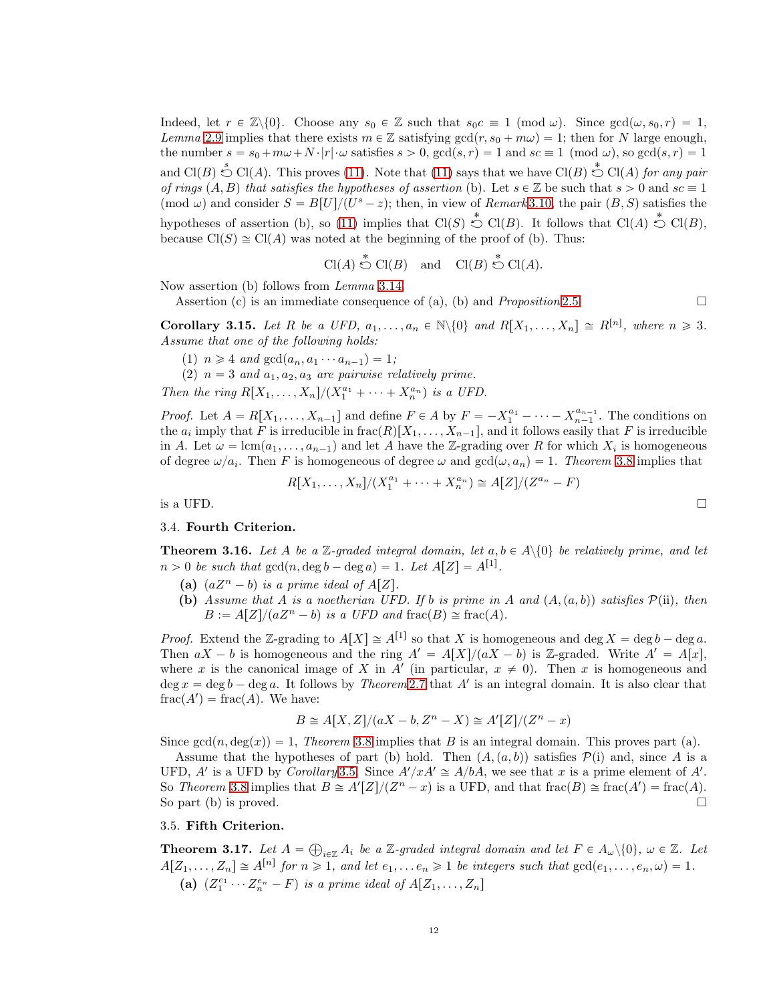Indeed, let  $r \in \mathbb{Z}\backslash\{0\}$ . Choose any  $s_0 \in \mathbb{Z}$  such that  $s_0c \equiv 1 \pmod{\omega}$ . Since  $gcd(\omega, s_0, r) = 1$ , Lemma [2.9](#page-2-3) implies that there exists  $m \in \mathbb{Z}$  satisfying  $gcd(r, s_0 + m\omega) = 1$ ; then for N large enough, the number  $s = s_0 + m\omega + N \cdot |r| \cdot \omega$  satisfies  $s > 0$ ,  $gcd(s, r) = 1$  and  $sc \equiv 1 \pmod{\omega}$ , so  $gcd(s, r) = 1$ and  $Cl(B) \stackrel{s}{\circlearrowright} Cl(A)$ . This proves [\(11\)](#page-10-0). Note that (11) says that we have  $Cl(B) \stackrel{*}{\circlearrowright} Cl(A)$  for any pair of rings  $(A, B)$  that satisfies the hypotheses of assertion (b). Let  $s \in \mathbb{Z}$  be such that  $s > 0$  and  $sc \equiv 1$ (mod  $\omega$ ) and consider  $S = B[U]/(U^s - z)$ ; then, in view of Remark [3.10,](#page-8-1) the pair  $(B, S)$  satisfies the hypotheses of assertion (b), so [\(11\)](#page-10-0) implies that  $Cl(S) \stackrel{*}{\circlearrowright} Cl(B)$ . It follows that  $Cl(A) \stackrel{*}{\circlearrowright} Cl(B)$ , because  $Cl(S) \cong Cl(A)$  was noted at the beginning of the proof of (b). Thus:

$$
Cl(A) \stackrel{*}{\circlearrowright} Cl(B)
$$
 and  $Cl(B) \stackrel{*}{\circlearrowright} Cl(A)$ .

Now assertion (b) follows from Lemma [3.14.](#page-8-4)

Assertion (c) is an immediate consequence of (a), (b) and *Proposition* [2.5.](#page-1-4)

**Corollary 3.15.** Let R be a UFD,  $a_1, \ldots, a_n \in \mathbb{N} \setminus \{0\}$  and  $R[X_1, \ldots, X_n] \cong R^{[n]}$ , where  $n \geq 3$ . Assume that one of the following holds:

(1)  $n \geq 4$  and  $gcd(a_n, a_1 \cdots a_{n-1}) = 1;$ 

(2)  $n = 3$  and  $a_1, a_2, a_3$  are pairwise relatively prime.

Then the ring  $R[X_1, \ldots, X_n]/(X_1^{a_1} + \cdots + X_n^{a_n})$  is a UFD.

*Proof.* Let  $A = R[X_1, \ldots, X_{n-1}]$  and define  $F \in A$  by  $F = -X_1^{a_1} - \cdots - X_{n-1}^{a_{n-1}}$ . The conditions on the  $a_i$  imply that F is irreducible in  $\text{frac}(R)[X_1, \ldots, X_{n-1}]$ , and it follows easily that F is irreducible in A. Let  $\omega = \text{lcm}(a_1, \ldots, a_{n-1})$  and let A have the Z-grading over R for which  $X_i$  is homogeneous of degree  $\omega/a_i$ . Then F is homogeneous of degree  $\omega$  and  $gcd(\omega, a_n) = 1$ . Theorem [3.8](#page-7-0) implies that

$$
R[X_1, ..., X_n]/(X_1^{a_1} + \dots + X_n^{a_n}) \cong A[Z]/(Z^{a_n} - F)
$$
 is a UFD.

### 3.4. Fourth Criterion.

<span id="page-11-0"></span>**Theorem 3.16.** Let A be a Z-graded integral domain, let  $a, b \in A \setminus \{0\}$  be relatively prime, and let  $n > 0$  be such that  $gcd(n, \deg b - \deg a) = 1$ . Let  $A[Z] = A^{[1]}$ .

- (a)  $(aZ^n b)$  is a prime ideal of  $A[Z]$ .
- (b) Assume that A is a noetherian UFD. If b is prime in A and  $(A, (a, b))$  satisfies  $\mathcal{P}(ii)$ , then  $B := A[Z]/(aZ^n - b)$  is a UFD and frac $(B) \cong$  frac $(A)$ .

*Proof.* Extend the Z-grading to  $A[X] \cong A^{[1]}$  so that X is homogeneous and deg  $X = \deg b - \deg a$ . Then  $aX - b$  is homogeneous and the ring  $A' = A[X]/(aX - b)$  is Z-graded. Write  $A' = A[x]$ , where x is the canonical image of X in A' (in particular,  $x \neq 0$ ). Then x is homogeneous and  $\deg x = \deg b - \deg a$ . It follows by *Theorem* [2.7](#page-2-1) that A' is an integral domain. It is also clear that  $frac(A') = frac(A)$ . We have:

$$
B \cong A[X,Z]/(aX - b, Z^n - X) \cong A'[Z]/(Z^n - x)
$$

Since  $gcd(n, deg(x)) = 1$ , Theorem [3.8](#page-7-0) implies that B is an integral domain. This proves part (a).

Assume that the hypotheses of part (b) hold. Then  $(A, (a, b))$  satisfies  $P(i)$  and, since A is a UFD, A' is a UFD by Corollary [3.5.](#page-6-3) Since  $A'/xA' \cong A/bA$ , we see that x is a prime element of A'. So Theorem [3.8](#page-7-0) implies that  $B \cong A'[Z]/(Z^n - x)$  is a UFD, and that frac $(B) \cong \text{frac}(A') = \text{frac}(A)$ . So part (b) is proved.  $\square$ 

### 3.5. Fifth Criterion.

<span id="page-11-1"></span>**Theorem 3.17.** Let  $A = \bigoplus_{i \in \mathbb{Z}} A_i$  be a Z-graded integral domain and let  $F \in A_\omega \setminus \{0\}$ ,  $\omega \in \mathbb{Z}$ . Let  $A[Z_1, \ldots, Z_n] \cong A^{[n]}$  for  $n \geq 1$ , and let  $e_1, \ldots, e_n \geq 1$  be integers such that  $gcd(e_1, \ldots, e_n, \omega) = 1$ . (a)  $(Z_1^{e_1} \cdots Z_n^{e_n} - F)$  is a prime ideal of  $A[Z_1, \ldots, Z_n]$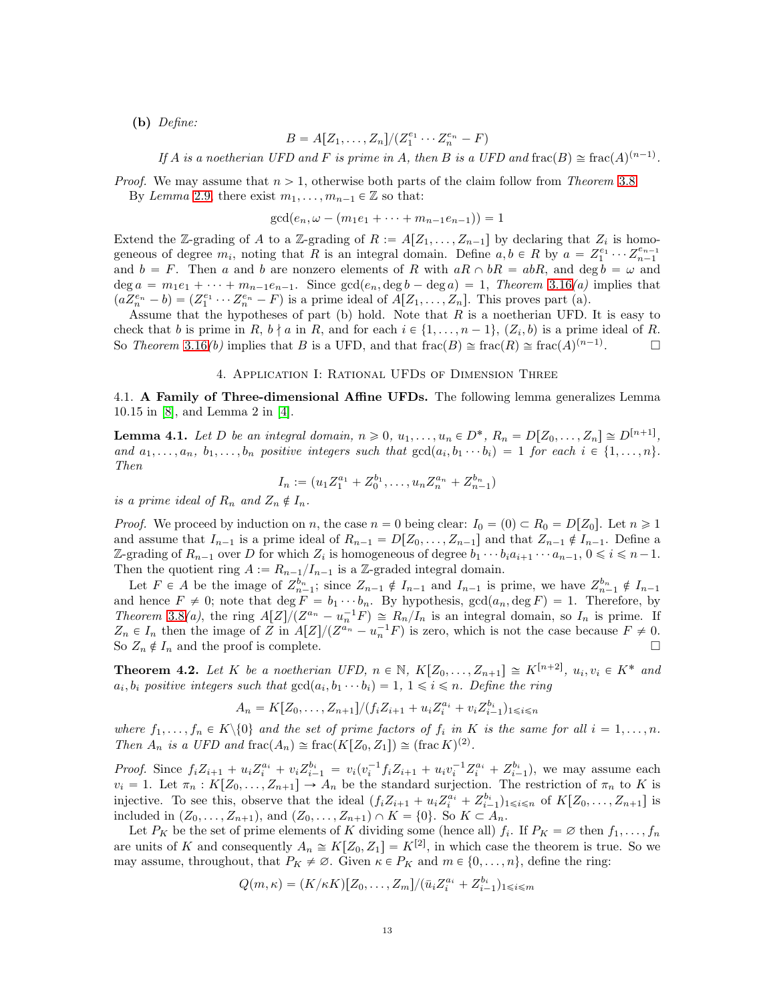(b) Define:

$$
B=A[Z_1,\ldots,Z_n]/(Z_1^{e_1}\cdots Z_n^{e_n}-F)
$$

If A is a noetherian UFD and F is prime in A, then B is a UFD and frac $(B) \cong \text{frac}(A)^{(n-1)}$ .

*Proof.* We may assume that  $n > 1$ , otherwise both parts of the claim follow from Theorem [3.8.](#page-7-0) By Lemma [2.9,](#page-2-3) there exist  $m_1, \ldots, m_{n-1} \in \mathbb{Z}$  so that:

$$
\gcd(e_n, \omega - (m_1e_1 + \cdots + m_{n-1}e_{n-1})) = 1
$$

Extend the Z-grading of A to a Z-grading of  $R := A[Z_1, \ldots, Z_{n-1}]$  by declaring that  $Z_i$  is homogeneous of degree  $m_i$ , noting that R is an integral domain. Define  $a, b \in R$  by  $a = Z_1^{e_1} \cdots Z_{n-1}^{e_{n-1}}$ and  $b = F$ . Then a and b are nonzero elements of R with  $aR \cap bR = abR$ , and deg  $b = \omega$  and deg  $a = m_1e_1 + \cdots + m_{n-1}e_{n-1}$ . Since  $gcd(e_n, deg \, b - deg \, a) = 1$ , Theorem [3.16](#page-11-0)(a) implies that  $(aZ_n^{e_n} - b) = (Z_1^{e_1} \cdots Z_n^{e_n} - F)$  is a prime ideal of  $A[Z_1, \ldots, Z_n]$ . This proves part (a).

Assume that the hypotheses of part (b) hold. Note that  $R$  is a noetherian UFD. It is easy to check that b is prime in R,  $b \nmid a$  in R, and for each  $i \in \{1, \ldots, n-1\}$ ,  $(Z_i, b)$  is a prime ideal of R. So Theorem [3.16](#page-11-0)(b) implies that B is a UFD, and that  $\text{frac}(B) \cong \text{frac}(R) \cong \text{frac}(A)^{(n-1)}$  $\Box$ 

#### 4. Application I: Rational UFDs of Dimension Three

<span id="page-12-0"></span>4.1. A Family of Three-dimensional Affine UFDs. The following lemma generalizes Lemma 10.15 in [\[8\]](#page-21-5), and Lemma 2 in [\[4\]](#page-21-12).

<span id="page-12-1"></span>**Lemma 4.1.** Let D be an integral domain,  $n \ge 0$ ,  $u_1, \ldots, u_n \in D^*$ ,  $R_n = D[Z_0, \ldots, Z_n] \cong D^{[n+1]}$ , and  $a_1, \ldots, a_n, b_1, \ldots, b_n$  positive integers such that  $gcd(a_i, b_1 \cdots b_i) = 1$  for each  $i \in \{1, \ldots, n\}$ . Then

$$
I_n := (u_1 Z_1^{a_1} + Z_0^{b_1}, \dots, u_n Z_n^{a_n} + Z_{n-1}^{b_n})
$$

is a prime ideal of  $R_n$  and  $Z_n \notin I_n$ .

*Proof.* We proceed by induction on n, the case  $n = 0$  being clear:  $I_0 = (0) \subset R_0 = D[Z_0]$ . Let  $n \ge 1$ and assume that  $I_{n-1}$  is a prime ideal of  $R_{n-1} = D[Z_0, \ldots, Z_{n-1}]$  and that  $Z_{n-1} \notin I_{n-1}$ . Define a Z-grading of  $R_{n-1}$  over D for which  $Z_i$  is homogeneous of degree  $b_1 \cdots b_i a_{i+1} \cdots a_{n-1}$ ,  $0 \leq i \leq n-1$ . Then the quotient ring  $A := R_{n-1}/I_{n-1}$  is a Z-graded integral domain.

Let  $F \in A$  be the image of  $Z_{n-1}^{b_n}$ ; since  $Z_{n-1} \notin I_{n-1}$  and  $I_{n-1}$  is prime, we have  $Z_{n-1}^{b_n} \notin I_{n-1}$ and hence  $F \neq 0$ ; note that deg  $F = b_1 \cdots b_n$ . By hypothesis,  $gcd(a_n, deg F) = 1$ . Therefore, by Theorem [3.8](#page-7-0)(a), the ring  $A[Z]/(Z^{a_n} - u_n^{-1}F) \cong R_n/I_n$  is an integral domain, so  $I_n$  is prime. If  $Z_n \in I_n$  then the image of Z in  $A[Z]/(Z^{a_n} - u_n^{-1}F)$  is zero, which is not the case because  $F \neq 0$ . So  $Z_n \notin I_n$  and the proof is complete.

<span id="page-12-2"></span>**Theorem 4.2.** Let K be a noetherian UFD,  $n \in \mathbb{N}$ ,  $K[Z_0, \ldots, Z_{n+1}] \cong K^{[n+2]}$ ,  $u_i, v_i \in K^*$  and  $a_i, b_i$  positive integers such that  $gcd(a_i, b_1 \cdots b_i) = 1, 1 \leq i \leq n$ . Define the ring

$$
A_n = K[Z_0, \dots, Z_{n+1}]/(f_i Z_{i+1} + u_i Z_i^{a_i} + v_i Z_{i-1}^{b_i})_{1 \le i \le n}
$$

where  $f_1, \ldots, f_n \in K \setminus \{0\}$  and the set of prime factors of  $f_i$  in K is the same for all  $i = 1, \ldots, n$ . Then  $A_n$  is a UFD and frac $(A_n) \cong \text{frac}(K[Z_0, Z_1]) \cong (\text{frac } K)^{(2)}$ .

*Proof.* Since  $f_i Z_{i+1} + u_i Z_i^{a_i} + v_i Z_{i-1}^{b_i} = v_i (v_i^{-1} f_i Z_{i+1} + u_i v_i^{-1} Z_i^{a_i} + Z_{i-1}^{b_i}),$  we may assume each  $v_i = 1$ . Let  $\pi_n : K[Z_0, \ldots, Z_{n+1}] \to A_n$  be the standard surjection. The restriction of  $\pi_n$  to K is injective. To see this, observe that the ideal  $(f_i Z_{i+1} + u_i Z_i^{a_i} + Z_{i-1}^{b_i})_{1 \leq i \leq n}$  of  $K[Z_0, \ldots, Z_{n+1}]$  is included in  $(Z_0, ..., Z_{n+1})$ , and  $(Z_0, ..., Z_{n+1}) \cap K = \{0\}$ . So  $K \subset A_n$ .

Let  $P_K$  be the set of prime elements of K dividing some (hence all)  $f_i$ . If  $P_K = \emptyset$  then  $f_1, \ldots, f_n$ are units of K and consequently  $A_n \cong K[Z_0, Z_1] = K^{[2]}$ , in which case the theorem is true. So we may assume, throughout, that  $P_K \neq \emptyset$ . Given  $\kappa \in P_K$  and  $m \in \{0, \ldots, n\}$ , define the ring:

$$
Q(m,\kappa) = (K/\kappa K)[Z_0, \ldots, Z_m]/(\bar{u}_i Z_i^{a_i} + Z_{i-1}^{b_i})_{1 \le i \le m}
$$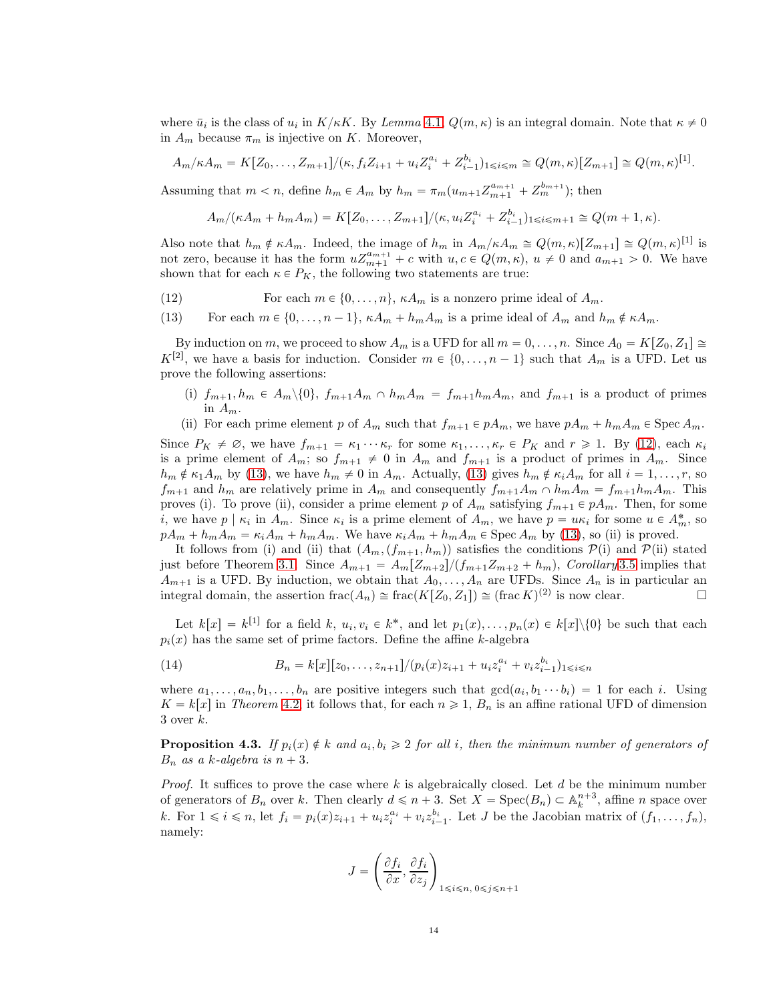where  $\bar{u}_i$  is the class of  $u_i$  in  $K/\kappa K$ . By Lemma [4.1,](#page-12-1)  $Q(m, \kappa)$  is an integral domain. Note that  $\kappa \neq 0$ in  $A_m$  because  $\pi_m$  is injective on K. Moreover,

$$
A_m/\kappa A_m = K[Z_0, \dots, Z_{m+1}]/(\kappa, f_i Z_{i+1} + u_i Z_i^{a_i} + Z_{i-1}^{b_i})_{1 \le i \le m} \cong Q(m, \kappa)[Z_{m+1}] \cong Q(m, \kappa)^{[1]}
$$

.

Assuming that  $m < n$ , define  $h_m \in A_m$  by  $h_m = \pi_m(u_{m+1}Z_{m+1}^{a_{m+1}} + Z_m^{b_{m+1}})$ ; then

$$
A_m/(\kappa A_m + h_m A_m) = K[Z_0, \dots, Z_{m+1}]/(\kappa, u_i Z_i^{a_i} + Z_{i-1}^{b_i})_{1 \le i \le m+1} \cong Q(m+1, \kappa).
$$

Also note that  $h_m \notin \kappa A_m$ . Indeed, the image of  $h_m$  in  $A_m/\kappa A_m \cong Q(m, \kappa)[Z_{m+1}] \cong Q(m, \kappa)^{[1]}$  is not zero, because it has the form  $uZ_{m+1}^{a_{m+1}} + c$  with  $u, c \in Q(m, \kappa), u \neq 0$  and  $a_{m+1} > 0$ . We have shown that for each  $\kappa \in P_K$ , the following two statements are true:

- <span id="page-13-0"></span>(12) For each  $m \in \{0, ..., n\}$ ,  $\kappa A_m$  is a nonzero prime ideal of  $A_m$ .
- <span id="page-13-1"></span>(13) For each  $m \in \{0, \ldots, n-1\}$ ,  $\kappa A_m + h_m A_m$  is a prime ideal of  $A_m$  and  $h_m \notin \kappa A_m$ .

By induction on m, we proceed to show  $A_m$  is a UFD for all  $m = 0, \ldots, n$ . Since  $A_0 = K[Z_0, Z_1] \cong$  $K^{[2]}$ , we have a basis for induction. Consider  $m \in \{0, \ldots, n-1\}$  such that  $A_m$  is a UFD. Let us prove the following assertions:

- (i)  $f_{m+1}, h_m \in A_m \setminus \{0\}$ ,  $f_{m+1}A_m \cap h_mA_m = f_{m+1}h_mA_m$ , and  $f_{m+1}$  is a product of primes in  $A_m$ .
- (ii) For each prime element p of  $A_m$  such that  $f_{m+1} \in pA_m$ , we have  $pA_m + h_mA_m \in \text{Spec } A_m$ .

Since  $P_K \neq \emptyset$ , we have  $f_{m+1} = \kappa_1 \cdots \kappa_r$  for some  $\kappa_1, \ldots, \kappa_r \in P_K$  and  $r \geq 1$ . By [\(12\)](#page-13-0), each  $\kappa_i$ is a prime element of  $A_m$ ; so  $f_{m+1} \neq 0$  in  $A_m$  and  $f_{m+1}$  is a product of primes in  $A_m$ . Since  $h_m \notin \kappa_1 A_m$  by [\(13\)](#page-13-1), we have  $h_m \neq 0$  in  $A_m$ . Actually, (13) gives  $h_m \notin \kappa_i A_m$  for all  $i = 1, \ldots, r$ , so  $f_{m+1}$  and  $h_m$  are relatively prime in  $A_m$  and consequently  $f_{m+1}A_m \cap h_mA_m = f_{m+1}h_mA_m$ . This proves (i). To prove (ii), consider a prime element p of  $A_m$  satisfying  $f_{m+1} \in pA_m$ . Then, for some *i*, we have  $p \mid \kappa_i$  in  $A_m$ . Since  $\kappa_i$  is a prime element of  $A_m$ , we have  $p = u \kappa_i$  for some  $u \in A_m^*$ , so  $pA_m + h_mA_m = \kappa_iA_m + h_mA_m$ . We have  $\kappa_iA_m + h_mA_m \in \text{Spec } A_m$  by [\(13\)](#page-13-1), so (ii) is proved.

It follows from (i) and (ii) that  $(A_m,(f_{m+1}, h_m))$  satisfies the conditions  $P(i)$  and  $P(ii)$  stated just before Theorem [3.1.](#page-3-0) Since  $A_{m+1} = A_m [Z_{m+2}]/(f_{m+1}Z_{m+2} + h_m)$ , Corollary [3.5](#page-6-3) implies that  $A_{m+1}$  is a UFD. By induction, we obtain that  $A_0, \ldots, A_n$  are UFDs. Since  $A_n$  is in particular an integral domain, the assertion  $\text{frac}(A_n) \cong \text{frac}(K[Z_0, Z_1]) \cong (\text{frac } K)^{(2)}$  is now clear.

Let  $k[x] = k^{[1]}$  for a field k,  $u_i, v_i \in k^*$ , and let  $p_1(x), \ldots, p_n(x) \in k[x] \setminus \{0\}$  be such that each  $p_i(x)$  has the same set of prime factors. Define the affine k-algebra

<span id="page-13-3"></span>(14) 
$$
B_n = k[x][z_0, \ldots, z_{n+1}]/(p_i(x)z_{i+1} + u_i z_i^{a_i} + v_i z_{i-1}^{b_i})_{1 \le i \le n}
$$

where  $a_1, \ldots, a_n, b_1, \ldots, b_n$  are positive integers such that  $gcd(a_i, b_1 \cdots b_i) = 1$  for each i. Using  $K = k[x]$  in Theorem [4.2,](#page-12-2) it follows that, for each  $n \geq 1$ ,  $B_n$  is an affine rational UFD of dimension  $3$  over  $k$ .

<span id="page-13-2"></span>**Proposition 4.3.** If  $p_i(x) \notin k$  and  $a_i, b_i \geq 2$  for all i, then the minimum number of generators of  $B_n$  as a k-algebra is  $n + 3$ .

*Proof.* It suffices to prove the case where k is algebraically closed. Let d be the minimum number of generators of  $B_n$  over k. Then clearly  $d \leq n + 3$ . Set  $X = \text{Spec}(B_n) \subset \mathbb{A}_k^{n+3}$ , affine n space over k. For  $1 \leq i \leq n$ , let  $f_i = p_i(x)z_{i+1} + u_i z_i^{a_i} + v_i z_{i-1}^{b_i}$ . Let J be the Jacobian matrix of  $(f_1, \ldots, f_n)$ , namely:

$$
J = \left(\frac{\partial f_i}{\partial x}, \frac{\partial f_i}{\partial z_j}\right)_{1 \le i \le n, 0 \le j \le n+1}
$$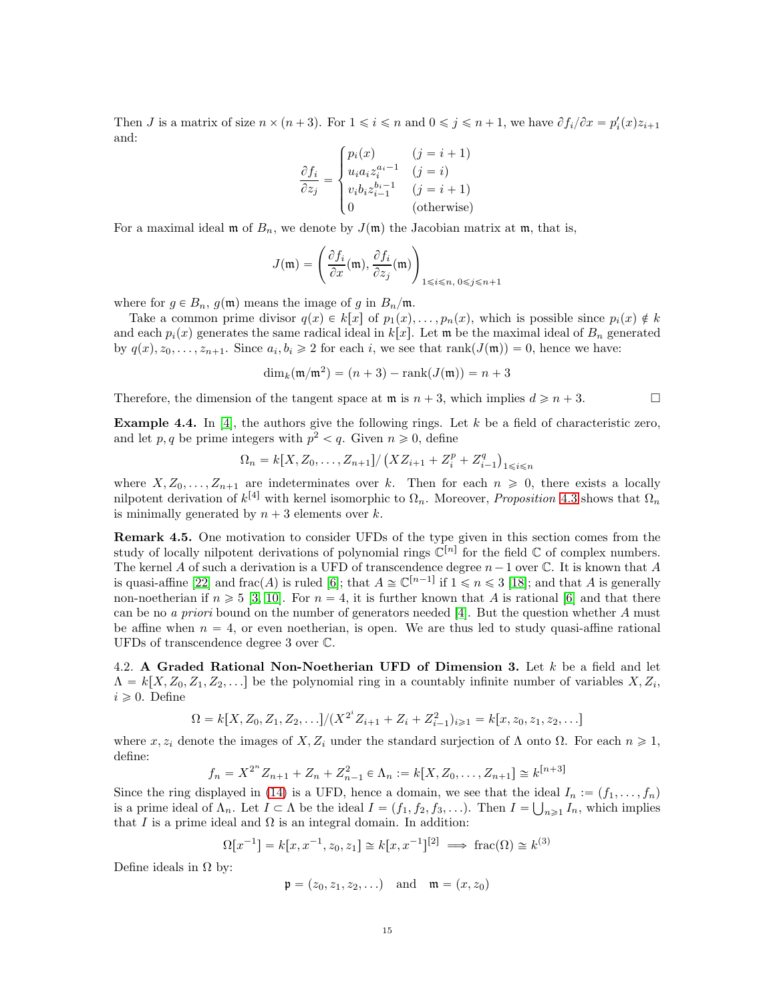Then *J* is a matrix of size  $n \times (n+3)$ . For  $1 \leq i \leq n$  and  $0 \leq j \leq n+1$ , we have  $\partial f_i/\partial x = p'_i(x)z_{i+1}$ and:

$$
\frac{\partial f_i}{\partial z_j} = \begin{cases} p_i(x) & (j = i + 1) \\ u_i a_i z_i^{a_i - 1} & (j = i) \\ v_i b_i z_{i-1}^{b_i - 1} & (j = i + 1) \\ 0 & \text{(otherwise)} \end{cases}
$$

For a maximal ideal  $\mathfrak{m}$  of  $B_n$ , we denote by  $J(\mathfrak{m})$  the Jacobian matrix at  $\mathfrak{m}$ , that is,

$$
J(\mathfrak{m}) = \left(\frac{\partial f_i}{\partial x}(\mathfrak{m}), \frac{\partial f_i}{\partial z_j}(\mathfrak{m})\right)_{1 \le i \le n, 0 \le j \le n+1}
$$

where for  $g \in B_n$ ,  $g(\mathfrak{m})$  means the image of g in  $B_n/\mathfrak{m}$ .

Take a common prime divisor  $q(x) \in k[x]$  of  $p_1(x), \ldots, p_n(x)$ , which is possible since  $p_i(x) \notin k$ and each  $p_i(x)$  generates the same radical ideal in k[x]. Let m be the maximal ideal of  $B_n$  generated by  $q(x), z_0, \ldots, z_{n+1}$ . Since  $a_i, b_i \geq 2$  for each i, we see that rank $(J(\mathfrak{m})) = 0$ , hence we have:

$$
\dim_k(\mathfrak{m}/\mathfrak{m}^2) = (n+3) - \operatorname{rank}(J(\mathfrak{m})) = n+3
$$

Therefore, the dimension of the tangent space at  $\mathfrak{m}$  is  $n + 3$ , which implies  $d \geq n + 3$ .

**Example 4.4.** In [\[4\]](#page-21-12), the authors give the following rings. Let  $k$  be a field of characteristic zero, and let  $p, q$  be prime integers with  $p^2 < q$ . Given  $n \geq 0$ , define

$$
\Omega_n = k[X, Z_0, \dots, Z_{n+1}]/(X Z_{i+1} + Z_i^p + Z_{i-1}^q)_{1 \le i \le n}
$$

where  $X, Z_0, \ldots, Z_{n+1}$  are indeterminates over k. Then for each  $n \geq 0$ , there exists a locally nilpotent derivation of  $k^{[4]}$  with kernel isomorphic to  $\Omega_n$ . Moreover, *Proposition* [4.3](#page-13-2) shows that  $\Omega_n$ is minimally generated by  $n + 3$  elements over k.

Remark 4.5. One motivation to consider UFDs of the type given in this section comes from the study of locally nilpotent derivations of polynomial rings  $\mathbb{C}^{[n]}$  for the field  $\mathbb C$  of complex numbers. The kernel A of such a derivation is a UFD of transcendence degree  $n-1$  over C. It is known that A is quasi-affine [\[22\]](#page-21-13) and frac(A) is ruled [\[6\]](#page-21-14); that  $A \cong \mathbb{C}^{[n-1]}$  if  $1 \leq n \leq 3$  [\[18\]](#page-21-15); and that A is generally non-noetherian if  $n \geq 5$  [\[3,](#page-21-16) [10\]](#page-21-17). For  $n = 4$ , it is further known that A is rational [\[6\]](#page-21-14) and that there can be no *a priori* bound on the number of generators needed  $[4]$ . But the question whether A must be affine when  $n = 4$ , or even noetherian, is open. We are thus led to study quasi-affine rational UFDs of transcendence degree 3 over C.

4.2. A Graded Rational Non-Noetherian UFD of Dimension 3. Let  $k$  be a field and let  $\Lambda = k[X, Z_0, Z_1, Z_2, \ldots]$  be the polynomial ring in a countably infinite number of variables  $X, Z_i$ ,  $i \geqslant 0$ . Define

$$
\Omega = k[X, Z_0, Z_1, Z_2, \ldots]/(X^{2^i} Z_{i+1} + Z_i + Z_{i-1}^2)_{i \geq 1} = k[x, z_0, z_1, z_2, \ldots]
$$

where  $x, z_i$  denote the images of  $X, Z_i$  under the standard surjection of  $\Lambda$  onto  $\Omega$ . For each  $n \geq 1$ , define:

$$
f_n = X^{2^n} Z_{n+1} + Z_n + Z_{n-1}^2 \in \Lambda_n := k[X, Z_0, \dots, Z_{n+1}] \cong k^{[n+3]}
$$

Since the ring displayed in [\(14\)](#page-13-3) is a UFD, hence a domain, we see that the ideal  $I_n := (f_1, \ldots, f_n)$ is a prime ideal of  $\Lambda_n$ . Let  $I \subset \Lambda$  be the ideal  $I = (f_1, f_2, f_3, \ldots)$ . Then  $I = \bigcup_{n \geq 1} I_n$ , which implies that I is a prime ideal and  $\Omega$  is an integral domain. In addition:

$$
\Omega[x^{-1}] = k[x, x^{-1}, z_0, z_1] \cong k[x, x^{-1}]^{[2]} \implies \text{frac}(\Omega) \cong k^{(3)}
$$

Define ideals in  $\Omega$  by:

$$
\mathfrak{p} = (z_0, z_1, z_2, \ldots)
$$
 and  $\mathfrak{m} = (x, z_0)$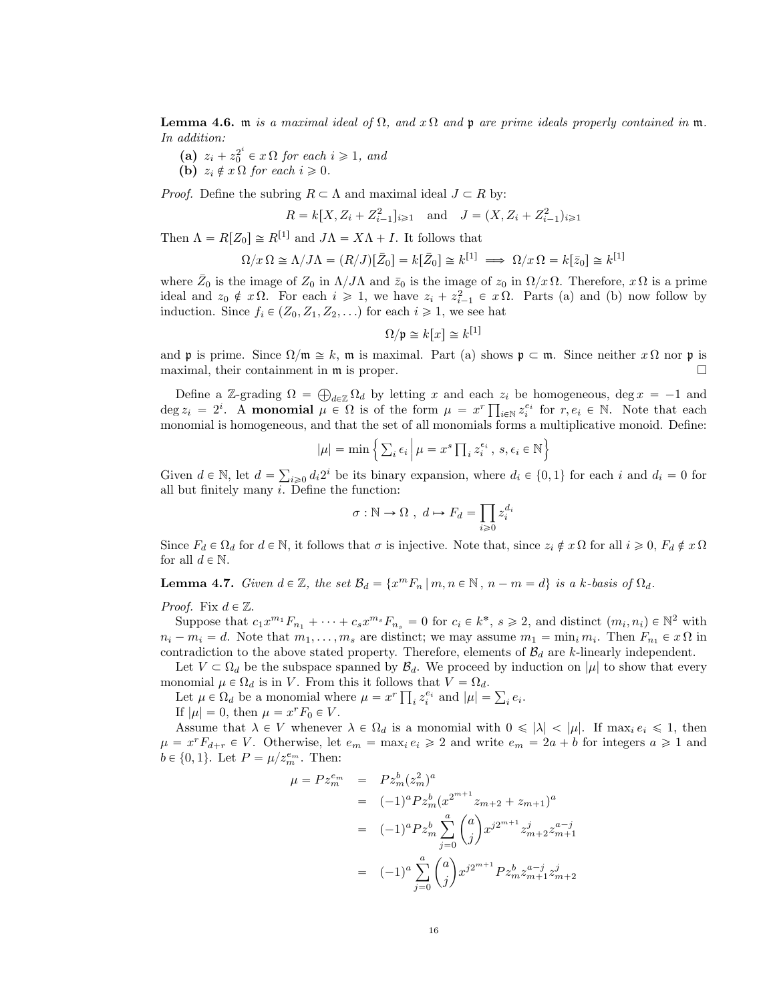**Lemma 4.6.** m is a maximal ideal of  $\Omega$ , and x  $\Omega$  and p are prime ideals properly contained in m. In addition:

(a)  $z_i + z_0^{2^i} \in x \Omega$  for each  $i \geq 1$ , and (b)  $z_i \notin x \Omega$  for each  $i \geqslant 0$ .

*Proof.* Define the subring  $R \subset \Lambda$  and maximal ideal  $J \subset R$  by:

$$
R = k[X, Z_i + Z_{i-1}^2]_{i \geq 1}
$$
 and  $J = (X, Z_i + Z_{i-1}^2)_{i \geq 1}$ 

Then  $\Lambda = R[Z_0] \cong R^{[1]}$  and  $J\Lambda = X\Lambda + I$ . It follows that

$$
\Omega/x \Omega \cong \Lambda/J\Lambda = (R/J)[\bar{Z}_0] = k[\bar{Z}_0] \cong k^{[1]} \implies \Omega/x \Omega = k[\bar{z}_0] \cong k^{[1]}
$$

where  $\bar{Z}_0$  is the image of  $Z_0$  in  $\Lambda/J\Lambda$  and  $\bar{z}_0$  is the image of  $z_0$  in  $\Omega/x \Omega$ . Therefore,  $x \Omega$  is a prime ideal and  $z_0 \notin x\Omega$ . For each  $i \geq 1$ , we have  $z_i + z_{i-1}^2 \in x\Omega$ . Parts (a) and (b) now follow by induction. Since  $f_i \in (Z_0, Z_1, Z_2, ...)$  for each  $i \geq 1$ , we see hat

$$
\Omega/\mathfrak{p}\cong k[x]\cong k^{[1]}
$$

and p is prime. Since  $\Omega/\mathfrak{m} \cong k$ ,  $\mathfrak{m}$  is maximal. Part (a) shows  $\mathfrak{p} \subset \mathfrak{m}$ . Since neither  $x \Omega$  nor p is maximal, their containment in  $\mathfrak m$  is proper.

Define a Z-grading  $\Omega = \bigoplus_{d \in \mathbb{Z}} \Omega_d$  by letting x and each  $z_i$  be homogeneous, deg  $x = -1$  and  $\deg z_i = 2^i$ . A monomial  $\mu \in \Omega$  is of the form  $\mu = x^r \prod_{i \in \mathbb{N}} z_i^{e_i}$  for  $r, e_i \in \mathbb{N}$ . Note that each monomial is homogeneous, and that the set of all monomials forms a multiplicative monoid. Define:

$$
|\mu| = \min \left\{ \sum_i \epsilon_i \, \middle| \, \mu = x^s \prod_i z_i^{\epsilon_i}, \, s, \epsilon_i \in \mathbb{N} \right\}
$$

Given  $d \in \mathbb{N}$ , let  $d = \sum_{i\geqslant 0} d_i 2^i$  be its binary expansion, where  $d_i \in \{0, 1\}$  for each i and  $d_i = 0$  for all but finitely many  $i$ . Define the function:

$$
\sigma : \mathbb{N} \to \Omega \ , \ d \mapsto F_d = \prod_{i \geq 0} z_i^{d_i}
$$

Since  $F_d \in \Omega_d$  for  $d \in \mathbb{N}$ , it follows that  $\sigma$  is injective. Note that, since  $z_i \notin x \Omega$  for all  $i \geq 0$ ,  $F_d \notin x \Omega$ for all  $d \in \mathbb{N}$ .

<span id="page-15-0"></span>**Lemma 4.7.** Given  $d \in \mathbb{Z}$ , the set  $\mathcal{B}_d = \{x^m F_n \mid m, n \in \mathbb{N}, n - m = d\}$  is a k-basis of  $\Omega_d$ .

*Proof.* Fix  $d \in \mathbb{Z}$ .

Suppose that  $c_1x^{m_1}F_{n_1} + \cdots + c_sx^{m_s}F_{n_s} = 0$  for  $c_i \in k^*$ ,  $s \geq 2$ , and distinct  $(m_i, n_i) \in \mathbb{N}^2$  with  $n_i - m_i = d$ . Note that  $m_1, \ldots, m_s$  are distinct; we may assume  $m_1 = \min_i m_i$ . Then  $F_{n_1} \in x \Omega$  in contradiction to the above stated property. Therefore, elements of  $\mathcal{B}_d$  are k-linearly independent.

Let  $V \subset \Omega_d$  be the subspace spanned by  $\mathcal{B}_d$ . We proceed by induction on  $|\mu|$  to show that every monomial  $\mu \in \Omega_d$  is in V. From this it follows that  $V = \Omega_d$ .

Let  $\mu \in \Omega_d$  be a monomial where  $\mu = x^r \prod_i z_i^{e_i}$  and  $|\mu| = \sum_i e_i$ .

If  $|\mu| = 0$ , then  $\mu = x^r F_0 \in V$ .

Assume that  $\lambda \in V$  whenever  $\lambda \in \Omega_d$  is a monomial with  $0 \leq |\lambda| < |\mu|$ . If max<sub>i</sub>  $e_i \leq 1$ , then  $\mu = x^r F_{d+r} \in V$ . Otherwise, let  $e_m = \max_i e_i \geq 2$  and write  $e_m = 2a + b$  for integers  $a \geq 1$  and  $b \in \{0, 1\}$ . Let  $P = \mu / z_m^{e_m}$ . Then:

$$
\mu = P z_m^{e_m} = P z_m^b (z_m^2)^a
$$
  
=  $(-1)^a P z_m^b (x^{2^{m+1}} z_{m+2} + z_{m+1})^a$   
=  $(-1)^a P z_m^b \sum_{j=0}^a \binom{a}{j} x^{j2^{m+1}} z_{m+2}^j z_{m+1}^{a-j}$   
=  $(-1)^a \sum_{j=0}^a \binom{a}{j} x^{j2^{m+1}} P z_m^b z_{m+1}^{a-j} z_{m+2}^j$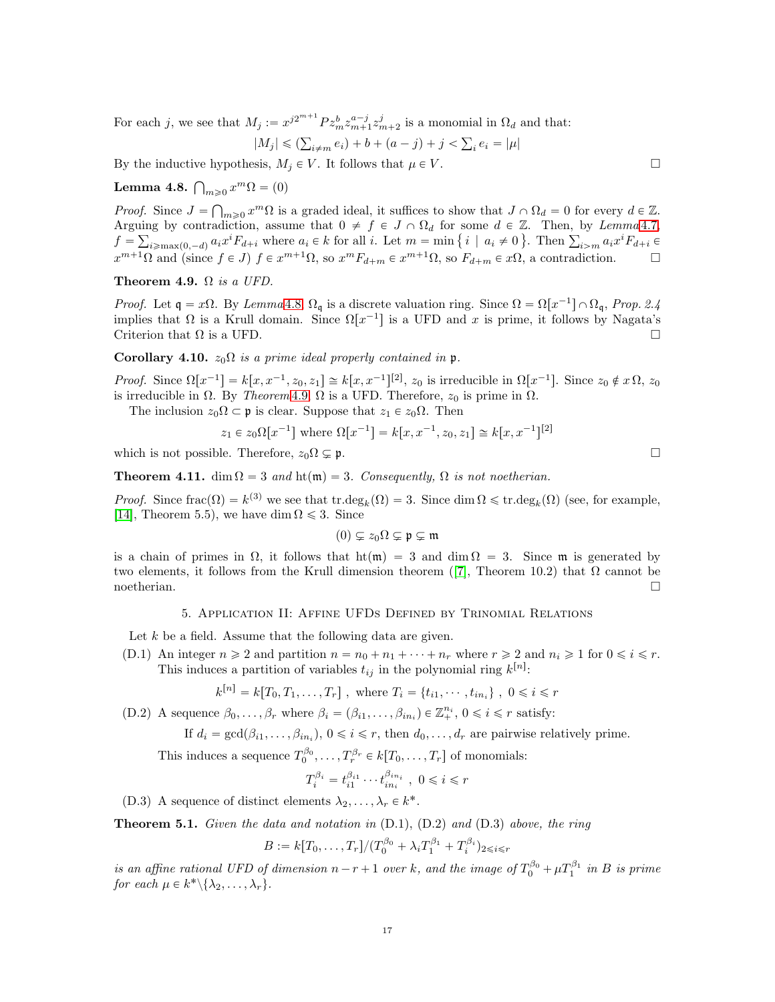For each j, we see that  $M_j := x^{j2^{m+1}} P z_m^b z_{m+1}^{a-j} z_{m+2}^j$  is a monomial in  $\Omega_d$  and that:

$$
|M_j| \le (\sum_{i \neq m} e_i) + b + (a - j) + j < \sum_i e_i = |\mu|
$$

By the inductive hypothesis,  $M_j \in V$ . It follows that  $\mu \in V$ .

<span id="page-16-2"></span>Lemma 4.8.  $\bigcap_{m\geqslant 0} x^m \Omega = (0)$ 

*Proof.* Since  $J = \bigcap_{m\geq 0} x^m \Omega$  is a graded ideal, it suffices to show that  $J \cap \Omega_d = 0$  for every  $d \in \mathbb{Z}$ . Arguing by contradiction, assume that  $0 \neq f \in J \cap \Omega_d$  for some  $d \in \mathbb{Z}$ . Then, by Lemma [4.7,](#page-15-0)  $f = \sum_{i \geqslant \max(0, -d)} a_i x^i F_{d+i}$  where  $a_i \in k$  for all i. Let  $m = \min\{i \mid a_i \neq 0\}$ . Then  $\sum_{i \geqslant m} a_i x^i F_{d+i}$  $x^{m+1}\Omega$  and (since  $f \in J$ )  $f \in x^{m+1}\Omega$ , so  $x^m F_{d+m} \in x^{m+1}\Omega$ , so  $F_{d+m} \in x\Omega$ , a contradiction.

<span id="page-16-3"></span>Theorem 4.9.  $\Omega$  is a UFD.

*Proof.* Let  $\mathfrak{q} = x\Omega$ . By Lemma [4.8,](#page-16-2)  $\Omega_{\mathfrak{q}}$  is a discrete valuation ring. Since  $\Omega = \Omega[x^{-1}] \cap \Omega_{\mathfrak{q}}$ , Prop. 2.4 implies that  $\Omega$  is a Krull domain. Since  $\Omega[x^{-1}]$  is a UFD and x is prime, it follows by Nagata's Criterion that  $\Omega$  is a UFD.

### Corollary 4.10.  $z_0\Omega$  is a prime ideal properly contained in p.

Proof. Since  $\Omega[x^{-1}] = k[x, x^{-1}, z_0, z_1] \cong k[x, x^{-1}]^{[2]}$ ,  $z_0$  is irreducible in  $\Omega[x^{-1}]$ . Since  $z_0 \notin x\Omega$ ,  $z_0$ is irreducible in  $\Omega$ . By *Theorem* [4.9,](#page-16-3)  $\Omega$  is a UFD. Therefore,  $z_0$  is prime in  $\Omega$ .

The inclusion  $z_0\Omega \subset \mathfrak{p}$  is clear. Suppose that  $z_1 \in z_0\Omega$ . Then

$$
z_1 \in z_0 \Omega[x^{-1}]
$$
 where  $\Omega[x^{-1}] = k[x, x^{-1}, z_0, z_1] \cong k[x, x^{-1}]^{[2]}$ 

which is not possible. Therefore,  $z_0\Omega \subsetneq \mathfrak{p}$ .

**Theorem 4.11.** dim  $\Omega = 3$  and  $\text{ht}(\mathfrak{m}) = 3$ . Consequently,  $\Omega$  is not noetherian.

*Proof.* Since frac $(\Omega) = k^{(3)}$  we see that tr.deg<sub>k</sub> $(\Omega) = 3$ . Since dim  $\Omega \leq \text{tr.deg}_k(\Omega)$  (see, for example, [\[14\]](#page-21-18), Theorem 5.5), we have dim  $\Omega \leq 3$ . Since

$$
(0) \subsetneq z_0\Omega \subsetneq \mathfrak{p} \subsetneq \mathfrak{m}
$$

<span id="page-16-0"></span>is a chain of primes in  $\Omega$ , it follows that  $\text{ht}(\mathfrak{m}) = 3$  and dim  $\Omega = 3$ . Since  $\mathfrak{m}$  is generated by two elements, it follows from the Krull dimension theorem ([\[7\]](#page-21-19), Theorem 10.2) that  $\Omega$  cannot be  $\Box$ noetherian.  $\Box$ 

### 5. Application II: Affine UFDs Defined by Trinomial Relations

Let  $k$  be a field. Assume that the following data are given.

(D.1) An integer  $n \geq 2$  and partition  $n = n_0 + n_1 + \cdots + n_r$  where  $r \geq 2$  and  $n_i \geq 1$  for  $0 \leq i \leq r$ . This induces a partition of variables  $t_{ij}$  in the polynomial ring  $k^{[n]}$ :

$$
k^{[n]} = k[T_0, T_1, \ldots, T_r]
$$
, where  $T_i = \{t_{i1}, \cdots, t_{in_i}\}$ ,  $0 \le i \le r$ 

(D.2) A sequence  $\beta_0, \ldots, \beta_r$  where  $\beta_i = (\beta_{i1}, \ldots, \beta_{in_i}) \in \mathbb{Z}_+^{n_i}$ ,  $0 \leq i \leq r$  satisfy:

If 
$$
d_i = \gcd(\beta_{i1}, \dots, \beta_{in_i}), 0 \le i \le r
$$
, then  $d_0, \dots, d_r$  are pairwise relatively prime.

This induces a sequence  $T_0^{\beta_0}, \ldots, T_r^{\beta_r} \in k[T_0, \ldots, T_r]$  of monomials:

$$
T_i^{\beta_i} = t_{i1}^{\beta_{i1}} \cdots t_{in_i}^{\beta_{in_i}} , 0 \leqslant i \leqslant r
$$

(D.3) A sequence of distinct elements  $\lambda_2, \ldots, \lambda_r \in k^*$ .

<span id="page-16-1"></span>**Theorem 5.1.** Given the data and notation in  $(D.1)$ ,  $(D.2)$  and  $(D.3)$  above, the ring

$$
B := k[T_0, \dots, T_r]/(T_0^{\beta_0} + \lambda_i T_1^{\beta_1} + T_i^{\beta_i})_{2 \le i \le r}
$$

is an affine rational UFD of dimension  $n-r+1$  over k, and the image of  $T_0^{\beta_0} + \mu T_1^{\beta_1}$  in B is prime for each  $\mu \in k^* \setminus {\{\lambda_2, \ldots, \lambda_r\}}$ .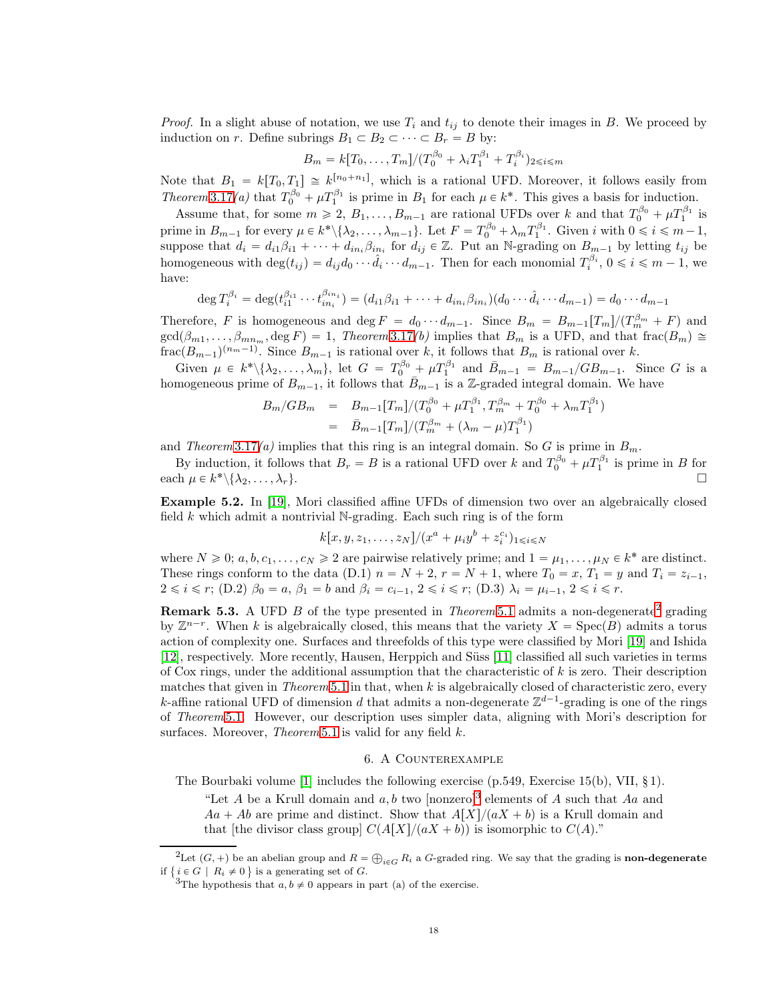*Proof.* In a slight abuse of notation, we use  $T_i$  and  $t_{ij}$  to denote their images in B. We proceed by induction on r. Define subrings  $B_1 \subset B_2 \subset \cdots \subset B_r = B$  by:

$$
B_m = k[T_0, \dots, T_m]/(T_0^{\beta_0} + \lambda_i T_1^{\beta_1} + T_i^{\beta_i})_{2 \le i \le m}
$$

Note that  $B_1 = k[T_0, T_1] \cong k^{[n_0+n_1]}$ , which is a rational UFD. Moreover, it follows easily from Theorem [3.17](#page-11-1)(a) that  $T_0^{\beta_0} + \mu T_1^{\beta_1}$  is prime in  $B_1$  for each  $\mu \in k^*$ . This gives a basis for induction.

Assume that, for some  $m \ge 2$ ,  $B_1, \ldots, B_{m-1}$  are rational UFDs over k and that  $T_0^{\beta_0} + \mu T_1^{\beta_1}$  is prime in  $B_{m-1}$  for every  $\mu \in k^* \setminus {\lambda_2, \ldots, \lambda_{m-1}}$ . Let  $F = T_0^{\beta_0} + \lambda_m T_1^{\beta_1}$ . Given i with  $0 \leqslant i \leqslant m-1$ , suppose that  $d_i = d_{i1}\beta_{i1} + \cdots + d_{in_i}\beta_{in_i}$  for  $d_{ij} \in \mathbb{Z}$ . Put an N-grading on  $B_{m-1}$  by letting  $t_{ij}$  be homogeneous with  $\deg(t_{ij}) = d_{ij}d_0 \cdots \hat{d}_i \cdots d_{m-1}$ . Then for each monomial  $T_i^{\beta_i}$ ,  $0 \leq i \leq m-1$ , we have:

$$
\deg T_i^{\beta_i} = \deg(t_{i1}^{\beta_{i1}} \cdots t_{in_i}^{\beta_{in_i}}) = (d_{i1}\beta_{i1} + \cdots + d_{in_i}\beta_{in_i})(d_0 \cdots \hat{d}_i \cdots d_{m-1}) = d_0 \cdots d_{m-1}
$$

Therefore, F is homogeneous and  $\deg F = d_0 \cdots d_{m-1}$ . Since  $B_m = B_{m-1}[T_m]/(T_m^{\beta_m} + F)$  and  $gcd(\beta_{m1}, \ldots, \beta_{mn_m}, \deg F) = 1$ , Theorem [3.17](#page-11-1)(b) implies that  $B_m$  is a UFD, and that frac $(B_m) \cong$  $\text{frac}(B_{m-1})^{(n_m-1)}$ . Since  $B_{m-1}$  is rational over k, it follows that  $B_m$  is rational over k.

Given  $\mu \in k^* \setminus {\lambda_2, \ldots, \lambda_m}$ , let  $G = T_0^{\beta_0} + \mu T_1^{\beta_1}$  and  $\bar{B}_{m-1} = B_{m-1}/GB_{m-1}$ . Since G is a homogeneous prime of  $B_{m-1}$ , it follows that  $\bar{B}_{m-1}$  is a Z-graded integral domain. We have

$$
B_m / GB_m = B_{m-1} [T_m] / (T_0^{\beta_0} + \mu T_1^{\beta_1}, T_m^{\beta_m} + T_0^{\beta_0} + \lambda_m T_1^{\beta_1})
$$
  
=  $\bar{B}_{m-1} [T_m] / (T_m^{\beta_m} + (\lambda_m - \mu) T_1^{\beta_1})$ 

and Theorem [3.17](#page-11-1)(a) implies that this ring is an integral domain. So G is prime in  $B_m$ .

By induction, it follows that  $B_r = B$  is a rational UFD over k and  $T_0^{\beta_0} + \mu T_1^{\beta_1}$  is prime in B for each  $\mu \in k^* \setminus {\lambda_2, \ldots, \lambda_r}$ .

Example 5.2. In [\[19\]](#page-21-20), Mori classified affine UFDs of dimension two over an algebraically closed field k which admit a nontrivial N-grading. Each such ring is of the form

$$
k[x, y, z_1, \ldots, z_N]/(x^a + \mu_i y^b + z_i^{c_i})_{1 \le i \le N}
$$

where  $N \geq 0$ ;  $a, b, c_1, \ldots, c_N \geq 2$  are pairwise relatively prime; and  $1 = \mu_1, \ldots, \mu_N \in k^*$  are distinct. These rings conform to the data (D.1)  $n = N + 2$ ,  $r = N + 1$ , where  $T_0 = x$ ,  $T_1 = y$  and  $T_i = z_{i-1}$ ,  $2 \le i \le r$ ; (D.2)  $\beta_0 = a, \beta_1 = b$  and  $\beta_i = c_{i-1}, 2 \le i \le r$ ; (D.3)  $\lambda_i = \mu_{i-1}, 2 \le i \le r$ .

**Remark 5.3.** A UFD B of the type presented in *Theorem* [5.1](#page-16-1) admits a non-degenerate<sup>[2](#page-17-0)</sup> grading by  $\mathbb{Z}^{n-r}$ . When k is algebraically closed, this means that the variety  $X = \text{Spec}(B)$  admits a torus action of complexity one. Surfaces and threefolds of this type were classified by Mori [\[19\]](#page-21-20) and Ishida [\[12\]](#page-21-21), respectively. More recently, Hausen, Herppich and Süss [\[11\]](#page-21-2) classified all such varieties in terms of Cox rings, under the additional assumption that the characteristic of  $k$  is zero. Their description matches that given in Theorem [5.1](#page-16-1) in that, when  $k$  is algebraically closed of characteristic zero, every k-affine rational UFD of dimension d that admits a non-degenerate  $\mathbb{Z}^{d-1}$ -grading is one of the rings of Theorem [5.1.](#page-16-1) However, our description uses simpler data, aligning with Mori's description for surfaces. Moreover, Theorem [5.1](#page-16-1) is valid for any field  $k$ .

# 6. A Counterexample

The Bourbaki volume [\[1\]](#page-21-3) includes the following exercise (p.549, Exercise 15(b), VII, § 1).

"Let A be a Krull domain and  $a, b$  two [nonzero]<sup>[3](#page-17-1)</sup> elements of A such that Aa and  $Aa + Ab$  are prime and distinct. Show that  $A[X]/(aX + b)$  is a Krull domain and that [the divisor class group]  $C(A[X]/(aX + b))$  is isomorphic to  $C(A)$ ."

<sup>&</sup>lt;sup>2</sup>Let  $(G, +)$  be an abelian group and  $R = \bigoplus_{i \in G} R_i$  a G-graded ring. We say that the grading is **non-degenerate** if  $\{i \in G \mid R_i \neq 0\}$  is a generating set of G.

<span id="page-17-1"></span><span id="page-17-0"></span><sup>&</sup>lt;sup>3</sup>The hypothesis that  $a, b \neq 0$  appears in part (a) of the exercise.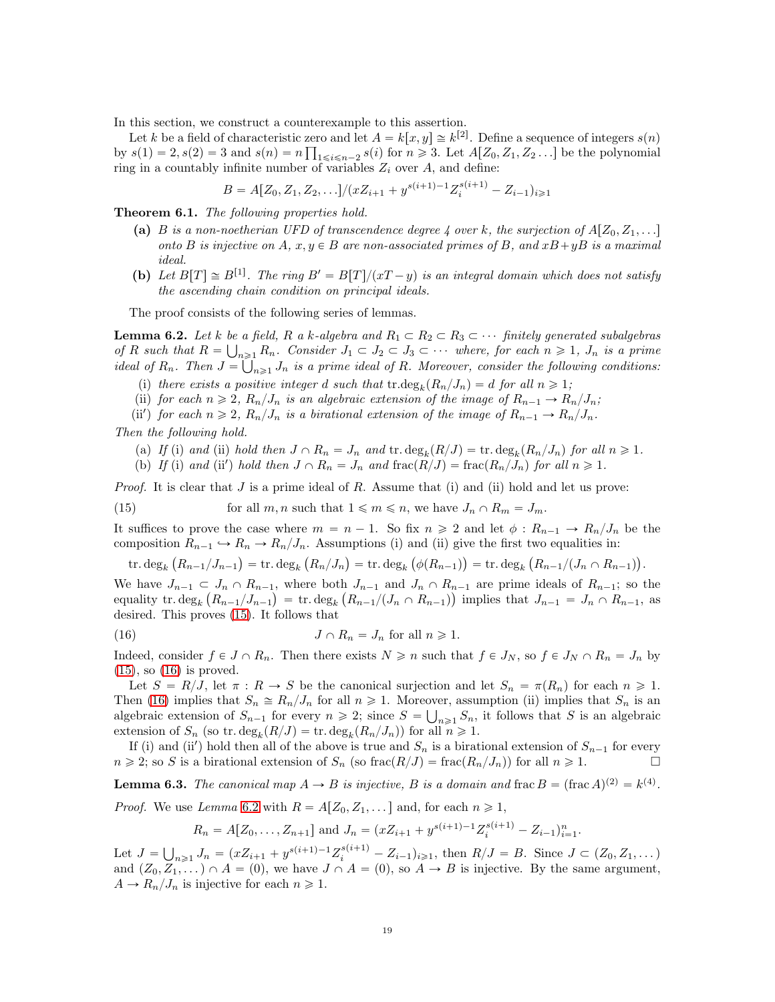In this section, we construct a counterexample to this assertion.

Let k be a field of characteristic zero and let  $A = k[x, y] \approx k^{[2]}$ . Define a sequence of integers  $s(n)$ by  $s(1) = 2, s(2) = 3$  and  $s(n) = n \prod_{1 \le i \le n-2} s(i)$  for  $n \ge 3$ . Let  $A[Z_0, Z_1, Z_2, \ldots]$  be the polynomial ring in a countably infinite number of variables  $Z_i$  over A, and define:

 $B = A[Z_0, Z_1, Z_2, \ldots]/(xZ_{i+1} + y^{s(i+1)-1}Z_i^{s(i+1)} - Z_{i-1})_{i \geq 1}$ 

Theorem 6.1. The following properties hold.

- (a) B is a non-noetherian UFD of transcendence degree 4 over k, the surjection of  $A[Z_0, Z_1, \ldots]$ onto B is injective on A,  $x, y \in B$  are non-associated primes of B, and  $xB+yB$  is a maximal ideal.
- (b) Let  $B[T] \cong B^{[1]}$ . The ring  $B' = B[T]/(xT y)$  is an integral domain which does not satisfy the ascending chain condition on principal ideals.

The proof consists of the following series of lemmas.

<span id="page-18-2"></span>**Lemma 6.2.** Let k be a field, R a k-algebra and  $R_1 \subset R_2 \subset R_3 \subset \cdots$  finitely generated subalgebras of R such that  $R = \bigcup_{n \geq 1} R_n$ . Consider  $J_1 \subset J_2 \subset J_3 \subset \cdots$  where, for each  $n \geq 1$ ,  $J_n$  is a prime ideal of  $R_n$ . Then  $J = \bigcup_{n \geq 1} J_n$  is a prime ideal of R. Moreover, consider the following conditions:

- (i) there exists a positive integer d such that  $\text{tr.deg}_k(R_n/J_n) = d$  for all  $n \geq 1$ ;
- (ii) for each  $n \geq 2$ ,  $R_n/J_n$  is an algebraic extension of the image of  $R_{n-1} \to R_n/J_n$ ;
- (ii') for each  $n \geq 2$ ,  $R_n/J_n$  is a birational extension of the image of  $R_{n-1} \to R_n/J_n$ .

Then the following hold.

- (a) If (i) and (ii) hold then  $J \cap R_n = J_n$  and  $\text{tr. deg}_k(R/J) = \text{tr. deg}_k(R_n/J_n)$  for all  $n \geq 1$ .
- <span id="page-18-0"></span>(b) If (i) and (ii') hold then  $J \cap R_n = J_n$  and  $\text{frac}(R/J) = \text{frac}(R_n/J_n)$  for all  $n \ge 1$ .

*Proof.* It is clear that  $J$  is a prime ideal of  $R$ . Assume that (i) and (ii) hold and let us prove:

(15) for all  $m, n$  such that  $1 \leq m \leq n$ , we have  $J_n \cap R_m = J_m$ .

It suffices to prove the case where  $m = n - 1$ . So fix  $n \geq 2$  and let  $\phi : R_{n-1} \to R_n/J_n$  be the composition  $R_{n-1} \hookrightarrow R_n \to R_n/J_n$ . Assumptions (i) and (ii) give the first two equalities in:

<span id="page-18-1"></span> $\text{tr. deg}_k(R_{n-1}/J_{n-1}) = \text{tr. deg}_k(R_n/J_n) = \text{tr. deg}_k(\phi(R_{n-1})) = \text{tr. deg}_k(R_{n-1}/(J_n \cap R_{n-1})).$ 

We have  $J_{n-1} \subset J_n \cap R_{n-1}$ , where both  $J_{n-1}$  and  $J_n \cap R_{n-1}$  are prime ideals of  $R_{n-1}$ ; so the equality tr.  $\deg_k(R_{n-1}/J_{n-1}) = \text{tr.} \deg_k(R_{n-1}/(J_n \cap R_{n-1}))$  implies that  $J_{n-1} = J_n \cap R_{n-1}$ , as desired. This proves [\(15\)](#page-18-0). It follows that

(16) 
$$
J \cap R_n = J_n \text{ for all } n \geq 1.
$$

Indeed, consider  $f \in J \cap R_n$ . Then there exists  $N \geq n$  such that  $f \in J_N$ , so  $f \in J_N \cap R_n = J_n$  by  $(15)$ , so  $(16)$  is proved.

Let  $S = R/J$ , let  $\pi : R \to S$  be the canonical surjection and let  $S_n = \pi(R_n)$  for each  $n \geq 1$ . Then [\(16\)](#page-18-1) implies that  $S_n \cong R_n/J_n$  for all  $n \geq 1$ . Moreover, assumption (ii) implies that  $S_n$  is an algebraic extension of  $S_{n-1}$  for every  $n \geq 2$ ; since  $S = \bigcup_{n \geq 1} S_n$ , it follows that S is an algebraic extension of  $S_n$  (so tr.  $\deg_k(R/J) = \text{tr.} \deg_k(R_n/J_n)$ ) for all  $n \geq 1$ .

If (i) and (ii') hold then all of the above is true and  $S_n$  is a birational extension of  $S_{n-1}$  for every  $n \geq 2$ ; so S is a birational extension of  $S_n$  (so frac $(R/J)$  = frac $(R_n/J_n)$ ) for all  $n \geq 1$ .

<span id="page-18-3"></span>**Lemma 6.3.** The canonical map  $A \to B$  is injective, B is a domain and frac  $B = (\text{frac }A)^{(2)} = k^{(4)}$ .

*Proof.* We use Lemma [6.2](#page-18-2) with  $R = A[Z_0, Z_1, \dots]$  and, for each  $n \ge 1$ ,

$$
R_n = A[Z_0, ..., Z_{n+1}]
$$
 and  $J_n = (xZ_{i+1} + y^{s(i+1)-1}Z_i^{s(i+1)} - Z_{i-1})_{i=1}^n$ .

Let  $J = \bigcup_{n \geq 1} J_n = (xZ_{i+1} + y^{s(i+1)-1}Z_i^{s(i+1)} - Z_{i-1})_{i \geq 1}$ , then  $R/J = B$ . Since  $J \subset (Z_0, Z_1, \dots)$ and  $(Z_0, Z_1, \dots) \cap A = (0)$ , we have  $J \cap A = (0)$ , so  $A \rightarrow B$  is injective. By the same argument,  $A \to R_n/J_n$  is injective for each  $n \geq 1$ .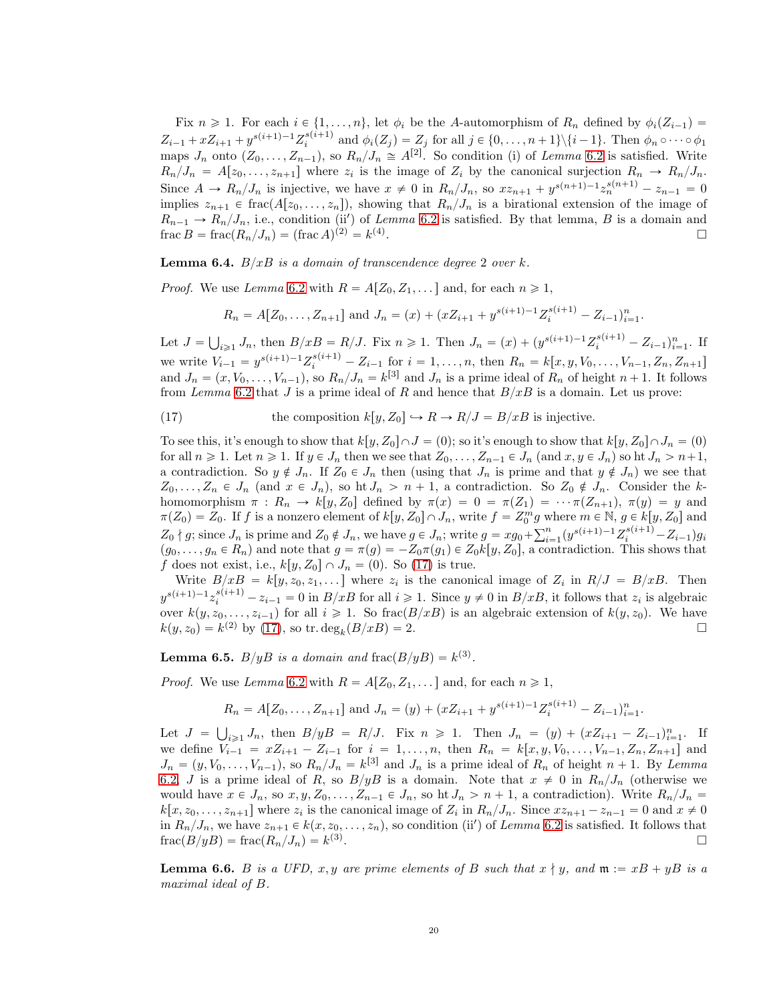Fix  $n \geq 1$ . For each  $i \in \{1, ..., n\}$ , let  $\phi_i$  be the A-automorphism of  $R_n$  defined by  $\phi_i(Z_{i-1})$  $Z_{i-1} + xZ_{i+1} + y^{s(i+1)-1}Z_i^{s(i+1)}$  and  $\phi_i(Z_j) = Z_j$  for all  $j \in \{0, ..., n+1\} \setminus \{i-1\}$ . Then  $\phi_n \circ \cdots \circ \phi_1$ maps  $J_n$  onto  $(Z_0, \ldots, Z_{n-1})$ , so  $R_n/J_n \cong A^{[2]}$ . So condition (i) of Lemma [6.2](#page-18-2) is satisfied. Write  $R_n/J_n = A[z_0, \ldots, z_{n+1}]$  where  $z_i$  is the image of  $Z_i$  by the canonical surjection  $R_n \to R_n/J_n$ . Since  $A \to R_n/J_n$  is injective, we have  $x \neq 0$  in  $R_n/J_n$ , so  $xz_{n+1} + y^{s(n+1)-1} z_n^{s(n+1)} - z_{n-1} = 0$ implies  $z_{n+1} \in \text{frac}(A[z_0, \ldots, z_n])$ , showing that  $R_n/J_n$  is a birational extension of the image of  $R_{n-1} \to R_n/J_n$ , i.e., condition (ii) of Lemma [6.2](#page-18-2) is satisfied. By that lemma, B is a domain and frac  $B = \text{frac}(R_n/J_n) = (\text{frac }A)^{(2)} = k^{(4)}$ . В последните поставите на селото на селото на селото на селото на селото на селото на селото на селото на се<br>Селото на селото на селото на селото на селото на селото на селото на селото на селото на селото на селото на

<span id="page-19-1"></span>**Lemma 6.4.**  $B/xB$  is a domain of transcendence degree 2 over k.

*Proof.* We use Lemma [6.2](#page-18-2) with  $R = A[Z_0, Z_1, \dots]$  and, for each  $n \ge 1$ ,

$$
R_n = A[Z_0, ..., Z_{n+1}]
$$
 and  $J_n = (x) + (xZ_{i+1} + y^{s(i+1)-1}Z_i^{s(i+1)} - Z_{i-1})_{i=1}^n$ .

Let  $J = \bigcup_{i \geq 1} J_n$ , then  $B/xB = R/J$ . Fix  $n \geq 1$ . Then  $J_n = (x) + (y^{s(i+1)-1}Z_i^{s(i+1)} - Z_{i-1})_{i=1}^n$ . If we write  $V_{i-1} = y^{s(i+1)-1}Z_i^{s(i+1)} - Z_{i-1}$  for  $i = 1, ..., n$ , then  $R_n = k[x, y, V_0, ..., V_{n-1}, Z_n, Z_{n+1}]$ and  $J_n = (x, V_0, \ldots, V_{n-1}),$  so  $R_n / J_n = k^{[3]}$  and  $J_n$  is a prime ideal of  $R_n$  of height  $n + 1$ . It follows from Lemma [6.2](#page-18-2) that J is a prime ideal of R and hence that  $B/xB$  is a domain. Let us prove:

<span id="page-19-0"></span>(17) the composition 
$$
k[y, Z_0] \hookrightarrow R \to R/J = B/xB
$$
 is injective.

To see this, it's enough to show that  $k[y, Z_0] \cap J = (0)$ ; so it's enough to show that  $k[y, Z_0] \cap J_n = (0)$ for all  $n \geq 1$ . Let  $n \geq 1$ . If  $y \in J_n$  then we see that  $Z_0, \ldots, Z_{n-1} \in J_n$  (and  $x, y \in J_n$ ) so ht  $J_n > n+1$ , a contradiction. So  $y \notin J_n$ . If  $Z_0 \in J_n$  then (using that  $J_n$  is prime and that  $y \notin J_n$ ) we see that  $Z_0, \ldots, Z_n \in J_n$  (and  $x \in J_n$ ), so ht  $J_n > n + 1$ , a contradiction. So  $Z_0 \notin J_n$ . Consider the khomomorphism  $\pi : R_n \to k[y, Z_0]$  defined by  $\pi(x) = 0 = \pi(Z_1) = \cdots \pi(Z_{n+1}), \pi(y) = y$  and  $\pi(Z_0) = Z_0$ . If f is a nonzero element of  $k[y, Z_0] \cap J_n$ , write  $f = Z_0^m g$  where  $m \in \mathbb{N}$ ,  $g \in k[y, Z_0]$  and  $Z_0 \nmid g$ ; since  $J_n$  is prime and  $Z_0 \notin J_n$ , we have  $g \in J_n$ ; write  $g = xg_0 + \sum_{i=1}^n (y^{s(i+1)-1}Z_i^{s(i+1)} - Z_{i-1})g_i$  $(g_0, \ldots, g_n \in R_n)$  and note that  $g = \pi(g) = -Z_0\pi(g_1) \in Z_0k[y, Z_0]$ , a contradiction. This shows that f does not exist, i.e.,  $k[y, Z_0] \cap J_n = (0)$ . So [\(17\)](#page-19-0) is true.

Write  $B/xB = k[y, z_0, z_1, \dots]$  where  $z_i$  is the canonical image of  $Z_i$  in  $R/J = B/xB$ . Then  $y^{s(i+1)-1}z_i^{s(i+1)} - z_{i-1} = 0$  in  $B/xB$  for all  $i \geq 1$ . Since  $y \neq 0$  in  $B/xB$ , it follows that  $z_i$  is algebraic over  $k(y, z_0, \ldots, z_{i-1})$  for all  $i \geq 1$ . So frac $(B/xB)$  is an algebraic extension of  $k(y, z_0)$ . We have  $k(y, z_0) = k^{(2)}$  by [\(17\)](#page-19-0), so tr.  $deg_k(B/xB) = 2$ .

<span id="page-19-2"></span>**Lemma 6.5.**  $B/yB$  is a domain and  $\text{frac}(B/yB) = k^{(3)}$ .

*Proof.* We use Lemma [6.2](#page-18-2) with  $R = A[Z_0, Z_1, \dots]$  and, for each  $n \ge 1$ ,

$$
R_n = A[Z_0, ..., Z_{n+1}]
$$
 and  $J_n = (y) + (xZ_{i+1} + y^{s(i+1)-1}Z_i^{s(i+1)} - Z_{i-1})_{i=1}^n$ .

Let  $J = \bigcup_{i \geq 1} J_n$ , then  $B/yB = R/J$ . Fix  $n \geq 1$ . Then  $J_n = (y) + (xZ_{i+1} - Z_{i-1})_{i=1}^n$ . If we define  $V_{i-1} = xZ_{i+1} - Z_{i-1}$  for  $i = 1, ..., n$ , then  $R_n = k[x, y, V_0, ..., V_{n-1}, Z_n, Z_{n+1}]$  and  $J_n = (y, V_0, \ldots, V_{n-1}),$  so  $R_n/J_n = k^{3}$  and  $J_n$  is a prime ideal of  $R_n$  of height  $n+1$ . By Lemma [6.2,](#page-18-2) J is a prime ideal of R, so  $B/yB$  is a domain. Note that  $x \neq 0$  in  $R_n/J_n$  (otherwise we would have  $x \in J_n$ , so  $x, y, Z_0, \ldots, Z_{n-1} \in J_n$ , so ht  $J_n > n + 1$ , a contradiction). Write  $R_n/J_n =$  $k[x, z_0, \ldots, z_{n+1}]$  where  $z_i$  is the canonical image of  $Z_i$  in  $R_n/J_n$ . Since  $xz_{n+1} - z_{n-1} = 0$  and  $x \neq 0$ in  $R_n/J_n$ , we have  $z_{n+1} \in k(x, z_0, \ldots, z_n)$ , so condition (ii') of Lemma [6.2](#page-18-2) is satisfied. It follows that  $\operatorname{frac}(B/yB) = \operatorname{frac}(R_n/J_n) = k^{(3)}$ .

<span id="page-19-3"></span>**Lemma 6.6.** B is a UFD, x, y are prime elements of B such that  $x \nmid y$ , and  $\mathfrak{m} := xB + yB$  is a maximal ideal of B.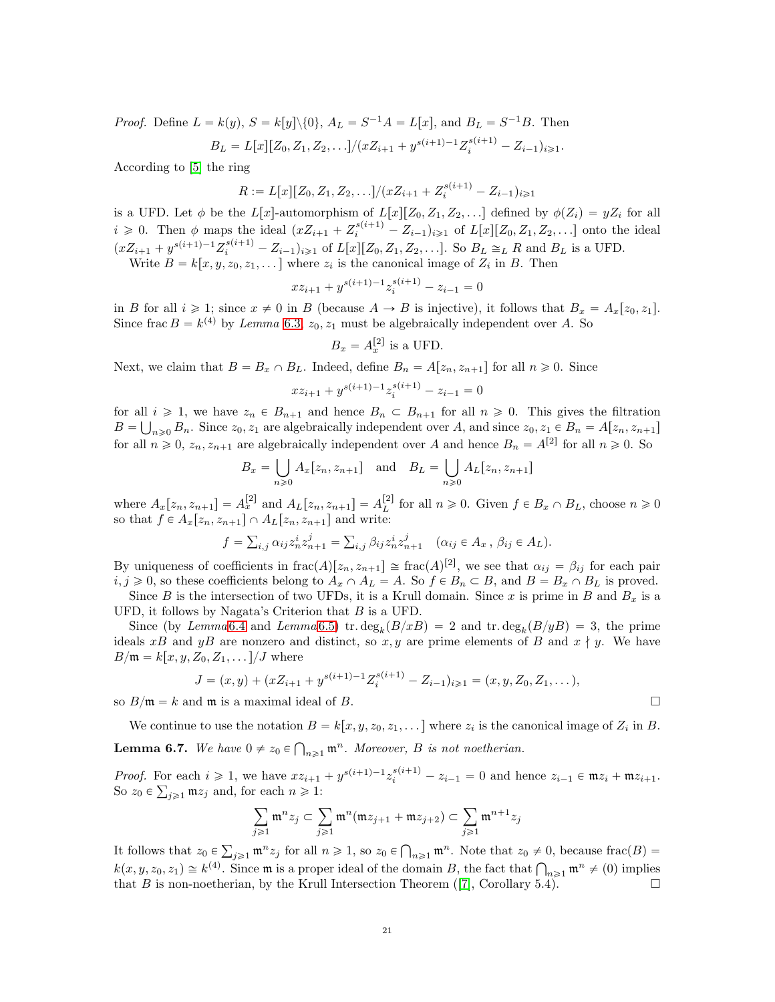*Proof.* Define  $L = k(y)$ ,  $S = k[y] \setminus \{0\}$ ,  $A_L = S^{-1}A = L[x]$ , and  $B_L = S^{-1}B$ . Then

$$
B_L = L[x][Z_0, Z_1, Z_2, \ldots]/(xZ_{i+1} + y^{s(i+1)-1}Z_i^{s(i+1)} - Z_{i-1})_{i \geq 1}.
$$

According to [\[5\]](#page-21-1) the ring

$$
R := L[x][Z_0, Z_1, Z_2, \ldots]/(xZ_{i+1} + Z_i^{s(i+1)} - Z_{i-1})_{i \geq 1}
$$

is a UFD. Let  $\phi$  be the L[x]-automorphism of  $L[x][Z_0, Z_1, Z_2, \ldots]$  defined by  $\phi(Z_i) = yZ_i$  for all  $i \geq 0$ . Then  $\phi$  maps the ideal  $(xZ_{i+1} + Z_i^{s(i+1)} - Z_{i-1})_{i \geq 1}$  of  $L[x][Z_0, Z_1, Z_2, \ldots]$  onto the ideal  $(xZ_{i+1} + y^{s(i+1)-1}Z_i^{s(i+1)} - Z_{i-1})_{i \geq 1}$  of  $L[x][Z_0, Z_1, Z_2, \ldots]$ . So  $B_L \cong_L R$  and  $B_L$  is a UFD. Write  $B = k[x, y, z_0, z_1, \dots]$  where  $z_i$  is the canonical image of  $Z_i$  in B. Then

$$
xz_{i+1}+y^{s\left( i+1\right) -1}z_{i}^{s\left( i+1\right) }-z_{i-1}=0
$$

in B for all  $i \geq 1$ ; since  $x \neq 0$  in B (because  $A \to B$  is injective), it follows that  $B_x = A_x[z_0, z_1]$ . Since frac  $B = k^{(4)}$  by Lemma [6.3,](#page-18-3)  $z_0, z_1$  must be algebraically independent over A. So

$$
B_x = A_x^{[2]}
$$
 is a UFD.

Next, we claim that  $B = B_x \cap B_L$ . Indeed, define  $B_n = A[z_n, z_{n+1}]$  for all  $n \ge 0$ . Since

$$
xz_{i+1} + y^{s(i+1)-1}z_i^{s(i+1)} - z_{i-1} = 0
$$

for all  $i \geq 1$ , we have  $z_n \in B_{n+1}$  and hence  $B_n \subset B_{n+1}$  for all  $n \geq 0$ . This gives the filtration  $B = \bigcup_{n\geq 0} B_n$ . Since  $z_0, z_1$  are algebraically independent over A, and since  $z_0, z_1 \in B_n = A[z_n, z_{n+1}]$ for all  $n \geq 0$ ,  $z_n, z_{n+1}$  are algebraically independent over A and hence  $B_n = A^{[2]}$  for all  $n \geq 0$ . So

$$
B_x = \bigcup_{n \ge 0} A_x[z_n, z_{n+1}] \quad \text{and} \quad B_L = \bigcup_{n \ge 0} A_L[z_n, z_{n+1}]
$$

where  $A_x[z_n, z_{n+1}] = A_x^{[2]}$  and  $A_L[z_n, z_{n+1}] = A_L^{[2]}$  for all  $n \ge 0$ . Given  $f \in B_x \cap B_L$ , choose  $n \ge 0$ so that  $f \in A_x[z_n, z_{n+1}] \cap A_L[z_n, z_{n+1}]$  and write:

$$
f = \sum_{i,j} \alpha_{ij} z_n^i z_{n+1}^j = \sum_{i,j} \beta_{ij} z_n^i z_{n+1}^j \quad (\alpha_{ij} \in A_x, \ \beta_{ij} \in A_L).
$$

By uniqueness of coefficients in  $\text{frac}(A)[z_n, z_{n+1}] \cong \text{frac}(A)^{[2]}$ , we see that  $\alpha_{ij} = \beta_{ij}$  for each pair  $i, j \geq 0$ , so these coefficients belong to  $A_x \cap A_L = A$ . So  $f \in B_n \subset B$ , and  $B = B_x \cap B_L$  is proved.

Since B is the intersection of two UFDs, it is a Krull domain. Since x is prime in B and  $B_x$  is a UFD, it follows by Nagata's Criterion that  $B$  is a UFD.

Since (by Lemma [6.4](#page-19-1) and Lemma [6.5\)](#page-19-2) tr.  $deg_k(B/xB) = 2$  and tr.  $deg_k(B/yB) = 3$ , the prime ideals xB and yB are nonzero and distinct, so x, y are prime elements of B and  $x \nmid y$ . We have  $B/\mathfrak{m} = k[x, y, Z_0, Z_1, \ldots]/J$  where

$$
J = (x, y) + (xZ_{i+1} + y^{s(i+1)-1}Z_i^{s(i+1)} - Z_{i-1})_{i \geq 1} = (x, y, Z_0, Z_1, \dots),
$$

so  $B/\mathfrak{m} = k$  and  $\mathfrak{m}$  is a maximal ideal of B.

We continue to use the notation  $B = k[x, y, z_0, z_1, \dots]$  where  $z_i$  is the canonical image of  $Z_i$  in B.

<span id="page-20-0"></span>**Lemma 6.7.** We have  $0 \neq z_0 \in \bigcap_{n \geq 1} \mathfrak{m}^n$ . Moreover, B is not noetherian.

*Proof.* For each  $i \geq 1$ , we have  $xz_{i+1} + y^{s(i+1)-1}z_i^{s(i+1)} - z_{i-1} = 0$  and hence  $z_{i-1} \in \mathfrak{m}z_i + \mathfrak{m}z_{i+1}$ . So  $z_0 \in \sum_{j\geqslant 1} \mathfrak{m} z_j$  and, for each  $n \geqslant 1$ :

$$
\sum_{j\geqslant 1}\mathfrak{m}^nz_j\subset\sum_{j\geqslant 1}\mathfrak{m}^n(\mathfrak{m}z_{j+1}+\mathfrak{m}z_{j+2})\subset\sum_{j\geqslant 1}\mathfrak{m}^{n+1}z_j
$$

It follows that  $z_0 \in \sum_{j\geqslant 1} \mathfrak{m}^n z_j$  for all  $n \geqslant 1$ , so  $z_0 \in \bigcap_{n\geqslant 1} \mathfrak{m}^n$ . Note that  $z_0 \neq 0$ , because  $\text{frac}(B) =$  $k(x, y, z_0, z_1) \cong k^{(4)}$ . Since **m** is a proper ideal of the domain B, the fact that  $\bigcap_{n\geq 1} \mathfrak{m}^n \neq (0)$  implies that B is non-noetherian, by the Krull Intersection Theorem ([\[7\]](#page-21-19), Corollary 5.4).

$$
\mathbb{L}^2
$$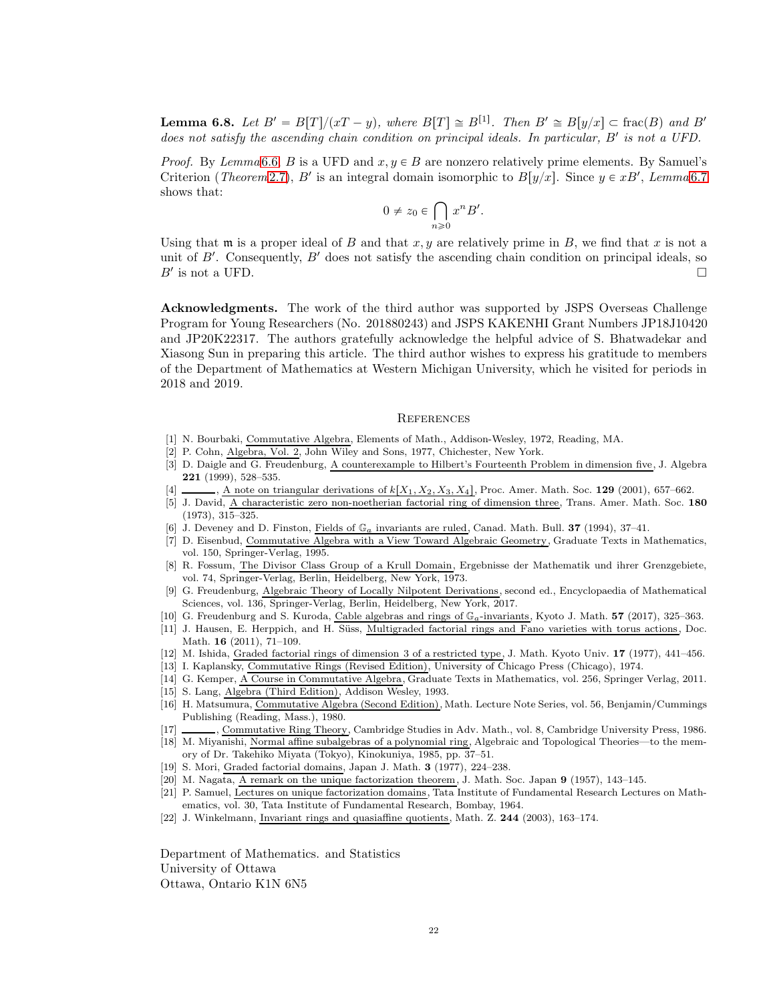**Lemma 6.8.** Let  $B' = B[T]/(xT - y)$ , where  $B[T] \cong B^{[1]}$ . Then  $B' \cong B[y/x] \subset \text{frac}(B)$  and  $B'$ does not satisfy the ascending chain condition on principal ideals. In particular,  $B'$  is not a UFD.

*Proof.* By Lemma [6.6,](#page-19-3) B is a UFD and  $x, y \in B$  are nonzero relatively prime elements. By Samuel's Criterion (*Theorem* [2.7\)](#page-2-1), B' is an integral domain isomorphic to  $B[y/x]$ . Since  $y \in xB'$ , Lemma [6.7](#page-20-0) shows that:

$$
0 \neq z_0 \in \bigcap_{n \geqslant 0} x^n B'.
$$

Using that  $\mathfrak m$  is a proper ideal of B and that  $x, y$  are relatively prime in B, we find that x is not a unit of  $B'$ . Consequently,  $B'$  does not satisfy the ascending chain condition on principal ideals, so  $B'$  is not a UFD.

Acknowledgments. The work of the third author was supported by JSPS Overseas Challenge Program for Young Researchers (No. 201880243) and JSPS KAKENHI Grant Numbers JP18J10420 and JP20K22317. The authors gratefully acknowledge the helpful advice of S. Bhatwadekar and Xiasong Sun in preparing this article. The third author wishes to express his gratitude to members of the Department of Mathematics at Western Michigan University, which he visited for periods in 2018 and 2019.

#### **REFERENCES**

- <span id="page-21-8"></span><span id="page-21-3"></span>[1] N. Bourbaki, Commutative Algebra, Elements of Math., Addison-Wesley, 1972, Reading, MA.
- <span id="page-21-16"></span>[2] P. Cohn, Algebra, Vol. 2, John Wiley and Sons, 1977, Chichester, New York.
- [3] D. Daigle and G. Freudenburg, A counterexample to Hilbert's Fourteenth Problem in dimension five, J. Algebra 221 (1999), 528–535.
- <span id="page-21-12"></span><span id="page-21-1"></span>[4]  $\ldots$ , A note on triangular derivations of  $k[X_1, X_2, X_3, X_4]$ , Proc. Amer. Math. Soc. 129 (2001), 657–662.
- [5] J. David, A characteristic zero non-noetherian factorial ring of dimension three, Trans. Amer. Math. Soc. 180  $(1973), 315 - 325.$
- <span id="page-21-19"></span><span id="page-21-14"></span>J. Deveney and D. Finston, Fields of  $\mathbb{G}_a$  invariants are ruled, Canad. Math. Bull. 37 (1994), 37-41.
- [7] D. Eisenbud, Commutative Algebra with a View Toward Algebraic Geometry, Graduate Texts in Mathematics, vol. 150, Springer-Verlag, 1995.
- <span id="page-21-5"></span>[8] R. Fossum, The Divisor Class Group of a Krull Domain, Ergebnisse der Mathematik und ihrer Grenzgebiete, vol. 74, Springer-Verlag, Berlin, Heidelberg, New York, 1973.
- <span id="page-21-9"></span>[9] G. Freudenburg, Algebraic Theory of Locally Nilpotent Derivations, second ed., Encyclopaedia of Mathematical Sciences, vol. 136, Springer-Verlag, Berlin, Heidelberg, New York, 2017.
- <span id="page-21-17"></span><span id="page-21-2"></span>[10] G. Freudenburg and S. Kuroda, Cable algebras and rings of  $\mathbb{G}_a$ -invariants, Kyoto J. Math. 57 (2017), 325–363.
- [11] J. Hausen, E. Herppich, and H. Süss, Multigraded factorial rings and Fano varieties with torus actions, Doc. Math. 16 (2011), 71–109.
- <span id="page-21-21"></span><span id="page-21-7"></span>[12] M. Ishida, Graded factorial rings of dimension 3 of a restricted type, J. Math. Kyoto Univ. 17 (1977), 441–456.
- <span id="page-21-18"></span>[13] I. Kaplansky, Commutative Rings (Revised Edition), University of Chicago Press (Chicago), 1974.
- <span id="page-21-11"></span>[14] G. Kemper, A Course in Commutative Algebra, Graduate Texts in Mathematics, vol. 256, Springer Verlag, 2011. [15] S. Lang, Algebra (Third Edition), Addison Wesley, 1993.
- <span id="page-21-10"></span>
- [16] H. Matsumura, Commutative Algebra (Second Edition), Math. Lecture Note Series, vol. 56, Benjamin/Cummings Publishing (Reading, Mass.), 1980.
- <span id="page-21-15"></span><span id="page-21-4"></span>[17] , Commutative Ring Theory, Cambridge Studies in Adv. Math., vol. 8, Cambridge University Press, 1986.
- [18] M. Miyanishi, Normal affine subalgebras of a polynomial ring, Algebraic and Topological Theories—to the memory of Dr. Takehiko Miyata (Tokyo), Kinokuniya, 1985, pp. 37–51.
- <span id="page-21-20"></span><span id="page-21-6"></span>[19] S. Mori, Graded factorial domains, Japan J. Math. 3 (1977), 224–238.
- <span id="page-21-0"></span>[20] M. Nagata, A remark on the unique factorization theorem, J. Math. Soc. Japan 9 (1957), 143–145.
- [21] P. Samuel, Lectures on unique factorization domains, Tata Institute of Fundamental Research Lectures on Mathematics, vol. 30, Tata Institute of Fundamental Research, Bombay, 1964.
- <span id="page-21-13"></span>[22] J. Winkelmann, Invariant rings and quasiaffine quotients, Math. Z. 244 (2003), 163–174.

Department of Mathematics. and Statistics University of Ottawa Ottawa, Ontario K1N 6N5